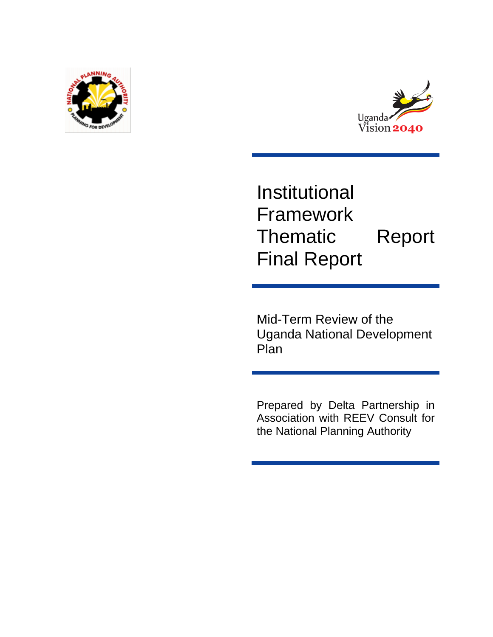



# Institutional Framework Thematic Report Final Report

Mid-Term Review of the Uganda National Development Plan

Prepared by Delta Partnership in Association with REEV Consult for the National Planning Authority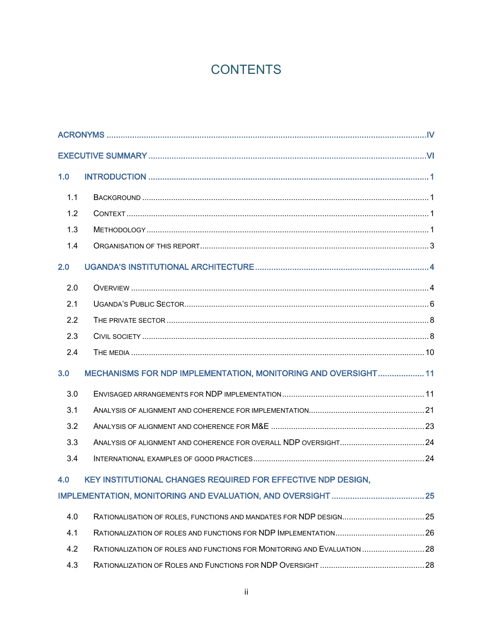## **CONTENTS**

| 1.0 |                                                                          |  |  |
|-----|--------------------------------------------------------------------------|--|--|
| 1.1 |                                                                          |  |  |
| 1.2 |                                                                          |  |  |
| 1.3 |                                                                          |  |  |
| 1.4 |                                                                          |  |  |
| 2.0 |                                                                          |  |  |
| 2.0 |                                                                          |  |  |
| 2.1 |                                                                          |  |  |
| 2.2 |                                                                          |  |  |
| 2.3 |                                                                          |  |  |
| 2.4 |                                                                          |  |  |
| 3.0 | MECHANISMS FOR NDP IMPLEMENTATION, MONITORING AND OVERSIGHT 11           |  |  |
| 3.0 |                                                                          |  |  |
| 3.1 |                                                                          |  |  |
| 3.2 |                                                                          |  |  |
| 3.3 |                                                                          |  |  |
| 3.4 |                                                                          |  |  |
| 4.0 | KEY INSTITUTIONAL CHANGES REQUIRED FOR EFFECTIVE NDP DESIGN.             |  |  |
|     |                                                                          |  |  |
| 4.0 | RATIONALISATION OF ROLES, FUNCTIONS AND MANDATES FOR NDP DESIGN25        |  |  |
| 4.1 |                                                                          |  |  |
| 4.2 | RATIONALIZATION OF ROLES AND FUNCTIONS FOR MONITORING AND EVALUATION  28 |  |  |
| 4.3 |                                                                          |  |  |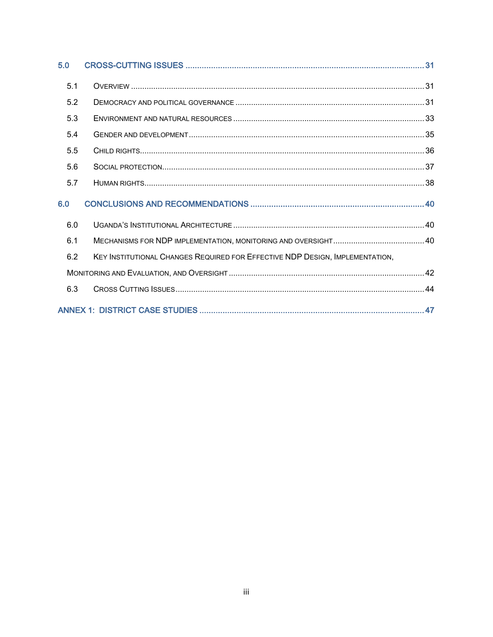| 5.0 |                                                                              |  |
|-----|------------------------------------------------------------------------------|--|
| 5.1 |                                                                              |  |
| 5.2 |                                                                              |  |
| 5.3 |                                                                              |  |
| 5.4 |                                                                              |  |
| 5.5 |                                                                              |  |
| 5.6 |                                                                              |  |
| 5.7 |                                                                              |  |
| 6.0 |                                                                              |  |
| 6.0 |                                                                              |  |
| 6.1 |                                                                              |  |
| 6.2 | KEY INSTITUTIONAL CHANGES REQUIRED FOR EFFECTIVE NDP DESIGN, IMPLEMENTATION, |  |
|     |                                                                              |  |
| 6.3 |                                                                              |  |
|     |                                                                              |  |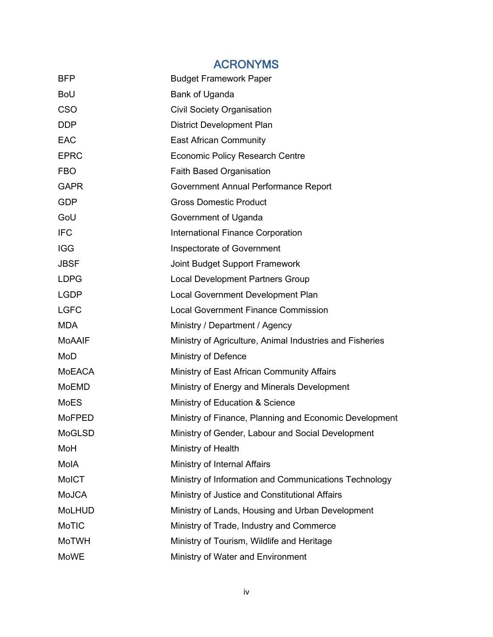## ACRONYMS

<span id="page-3-0"></span>

| <b>BFP</b>    | <b>Budget Framework Paper</b>                            |
|---------------|----------------------------------------------------------|
| <b>BoU</b>    | Bank of Uganda                                           |
| <b>CSO</b>    | <b>Civil Society Organisation</b>                        |
| <b>DDP</b>    | <b>District Development Plan</b>                         |
| <b>EAC</b>    | <b>East African Community</b>                            |
| <b>EPRC</b>   | <b>Economic Policy Research Centre</b>                   |
| <b>FBO</b>    | <b>Faith Based Organisation</b>                          |
| <b>GAPR</b>   | Government Annual Performance Report                     |
| <b>GDP</b>    | <b>Gross Domestic Product</b>                            |
| GoU           | Government of Uganda                                     |
| <b>IFC</b>    | International Finance Corporation                        |
| <b>IGG</b>    | Inspectorate of Government                               |
| <b>JBSF</b>   | Joint Budget Support Framework                           |
| <b>LDPG</b>   | <b>Local Development Partners Group</b>                  |
| <b>LGDP</b>   | Local Government Development Plan                        |
| <b>LGFC</b>   | <b>Local Government Finance Commission</b>               |
| <b>MDA</b>    | Ministry / Department / Agency                           |
| <b>MoAAIF</b> | Ministry of Agriculture, Animal Industries and Fisheries |
| MoD           | Ministry of Defence                                      |
| MoEACA        | Ministry of East African Community Affairs               |
| <b>MoEMD</b>  | Ministry of Energy and Minerals Development              |
| <b>MoES</b>   | Ministry of Education & Science                          |
| <b>MoFPED</b> | Ministry of Finance, Planning and Economic Development   |
| <b>MoGLSD</b> | Ministry of Gender, Labour and Social Development        |
| MoH           | Ministry of Health                                       |
| MolA          | Ministry of Internal Affairs                             |
| <b>MoICT</b>  | Ministry of Information and Communications Technology    |
| <b>MoJCA</b>  | Ministry of Justice and Constitutional Affairs           |
| <b>MoLHUD</b> | Ministry of Lands, Housing and Urban Development         |
| <b>MoTIC</b>  | Ministry of Trade, Industry and Commerce                 |
| <b>MoTWH</b>  | Ministry of Tourism, Wildlife and Heritage               |
| <b>MoWE</b>   | Ministry of Water and Environment                        |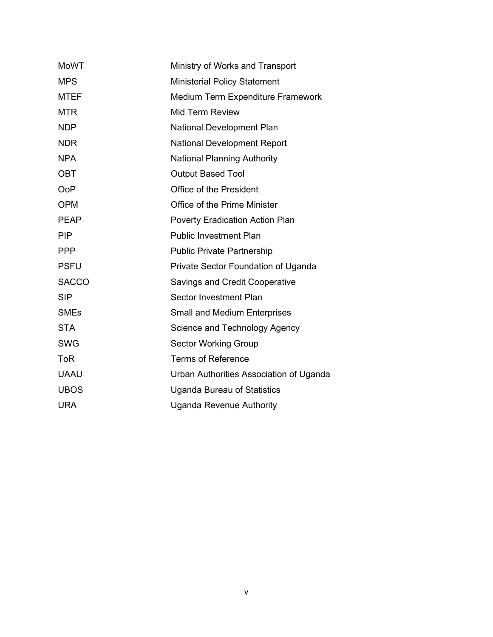| <b>MoWT</b>  | Ministry of Works and Transport         |
|--------------|-----------------------------------------|
| <b>MPS</b>   | <b>Ministerial Policy Statement</b>     |
| <b>MTEF</b>  | Medium Term Expenditure Framework       |
| <b>MTR</b>   | <b>Mid Term Review</b>                  |
| <b>NDP</b>   | National Development Plan               |
| <b>NDR</b>   | <b>National Development Report</b>      |
| <b>NPA</b>   | <b>National Planning Authority</b>      |
| <b>OBT</b>   | <b>Output Based Tool</b>                |
| <b>OoP</b>   | Office of the President                 |
| <b>OPM</b>   | Office of the Prime Minister            |
| <b>PEAP</b>  | Poverty Eradication Action Plan         |
| <b>PIP</b>   | <b>Public Investment Plan</b>           |
| <b>PPP</b>   | <b>Public Private Partnership</b>       |
| <b>PSFU</b>  | Private Sector Foundation of Uganda     |
| <b>SACCO</b> | <b>Savings and Credit Cooperative</b>   |
| <b>SIP</b>   | Sector Investment Plan                  |
| <b>SMEs</b>  | <b>Small and Medium Enterprises</b>     |
| <b>STA</b>   | Science and Technology Agency           |
| <b>SWG</b>   | <b>Sector Working Group</b>             |
| <b>ToR</b>   | <b>Terms of Reference</b>               |
| <b>UAAU</b>  | Urban Authorities Association of Uganda |
| <b>UBOS</b>  | Uganda Bureau of Statistics             |
| <b>URA</b>   | <b>Uganda Revenue Authority</b>         |
|              |                                         |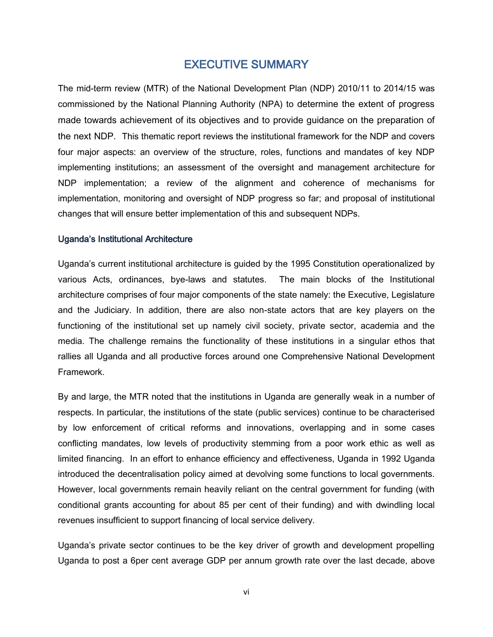## EXECUTIVE SUMMARY

<span id="page-5-0"></span>The mid-term review (MTR) of the National Development Plan (NDP) 2010/11 to 2014/15 was commissioned by the National Planning Authority (NPA) to determine the extent of progress made towards achievement of its objectives and to provide guidance on the preparation of the next NDP. This thematic report reviews the institutional framework for the NDP and covers four major aspects: an overview of the structure, roles, functions and mandates of key NDP implementing institutions; an assessment of the oversight and management architecture for NDP implementation; a review of the alignment and coherence of mechanisms for implementation, monitoring and oversight of NDP progress so far; and proposal of institutional changes that will ensure better implementation of this and subsequent NDPs.

#### Uganda's Institutional Architecture

Uganda's current institutional architecture is guided by the 1995 Constitution operationalized by various Acts, ordinances, bye-laws and statutes. The main blocks of the Institutional architecture comprises of four major components of the state namely: the Executive, Legislature and the Judiciary. In addition, there are also non-state actors that are key players on the functioning of the institutional set up namely civil society, private sector, academia and the media. The challenge remains the functionality of these institutions in a singular ethos that rallies all Uganda and all productive forces around one Comprehensive National Development Framework.

By and large, the MTR noted that the institutions in Uganda are generally weak in a number of respects. In particular, the institutions of the state (public services) continue to be characterised by low enforcement of critical reforms and innovations, overlapping and in some cases conflicting mandates, low levels of productivity stemming from a poor work ethic as well as limited financing. In an effort to enhance efficiency and effectiveness, Uganda in 1992 Uganda introduced the decentralisation policy aimed at devolving some functions to local governments. However, local governments remain heavily reliant on the central government for funding (with conditional grants accounting for about 85 per cent of their funding) and with dwindling local revenues insufficient to support financing of local service delivery.

Uganda's private sector continues to be the key driver of growth and development propelling Uganda to post a 6per cent average GDP per annum growth rate over the last decade, above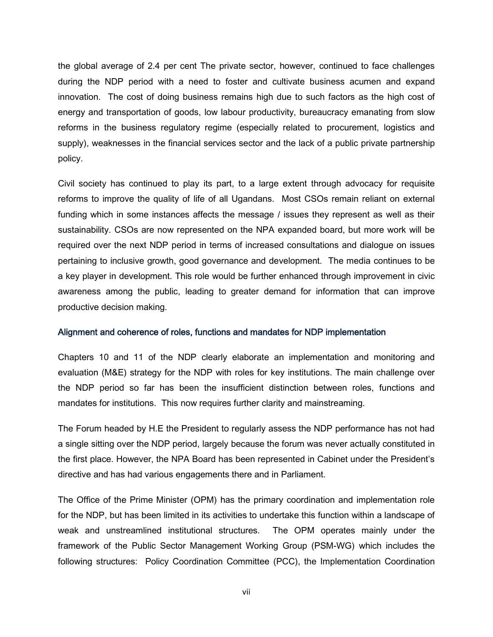the global average of 2.4 per cent The private sector, however, continued to face challenges during the NDP period with a need to foster and cultivate business acumen and expand innovation. The cost of doing business remains high due to such factors as the high cost of energy and transportation of goods, low labour productivity, bureaucracy emanating from slow reforms in the business regulatory regime (especially related to procurement, logistics and supply), weaknesses in the financial services sector and the lack of a public private partnership policy.

Civil society has continued to play its part, to a large extent through advocacy for requisite reforms to improve the quality of life of all Ugandans. Most CSOs remain reliant on external funding which in some instances affects the message / issues they represent as well as their sustainability. CSOs are now represented on the NPA expanded board, but more work will be required over the next NDP period in terms of increased consultations and dialogue on issues pertaining to inclusive growth, good governance and development. The media continues to be a key player in development. This role would be further enhanced through improvement in civic awareness among the public, leading to greater demand for information that can improve productive decision making.

#### Alignment and coherence of roles, functions and mandates for NDP implementation

Chapters 10 and 11 of the NDP clearly elaborate an implementation and monitoring and evaluation (M&E) strategy for the NDP with roles for key institutions. The main challenge over the NDP period so far has been the insufficient distinction between roles, functions and mandates for institutions. This now requires further clarity and mainstreaming.

The Forum headed by H.E the President to regularly assess the NDP performance has not had a single sitting over the NDP period, largely because the forum was never actually constituted in the first place. However, the NPA Board has been represented in Cabinet under the President's directive and has had various engagements there and in Parliament.

The Office of the Prime Minister (OPM) has the primary coordination and implementation role for the NDP, but has been limited in its activities to undertake this function within a landscape of weak and unstreamlined institutional structures. The OPM operates mainly under the framework of the Public Sector Management Working Group (PSM-WG) which includes the following structures: Policy Coordination Committee (PCC), the Implementation Coordination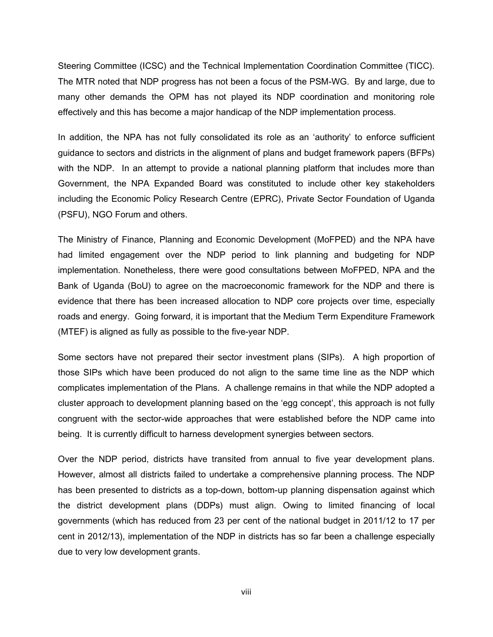Steering Committee (ICSC) and the Technical Implementation Coordination Committee (TICC). The MTR noted that NDP progress has not been a focus of the PSM-WG. By and large, due to many other demands the OPM has not played its NDP coordination and monitoring role effectively and this has become a major handicap of the NDP implementation process.

In addition, the NPA has not fully consolidated its role as an 'authority' to enforce sufficient guidance to sectors and districts in the alignment of plans and budget framework papers (BFPs) with the NDP. In an attempt to provide a national planning platform that includes more than Government, the NPA Expanded Board was constituted to include other key stakeholders including the Economic Policy Research Centre (EPRC), Private Sector Foundation of Uganda (PSFU), NGO Forum and others.

The Ministry of Finance, Planning and Economic Development (MoFPED) and the NPA have had limited engagement over the NDP period to link planning and budgeting for NDP implementation. Nonetheless, there were good consultations between MoFPED, NPA and the Bank of Uganda (BoU) to agree on the macroeconomic framework for the NDP and there is evidence that there has been increased allocation to NDP core projects over time, especially roads and energy. Going forward, it is important that the Medium Term Expenditure Framework (MTEF) is aligned as fully as possible to the five-year NDP.

Some sectors have not prepared their sector investment plans (SIPs). A high proportion of those SIPs which have been produced do not align to the same time line as the NDP which complicates implementation of the Plans. A challenge remains in that while the NDP adopted a cluster approach to development planning based on the 'egg concept', this approach is not fully congruent with the sector-wide approaches that were established before the NDP came into being. It is currently difficult to harness development synergies between sectors.

Over the NDP period, districts have transited from annual to five year development plans. However, almost all districts failed to undertake a comprehensive planning process. The NDP has been presented to districts as a top-down, bottom-up planning dispensation against which the district development plans (DDPs) must align. Owing to limited financing of local governments (which has reduced from 23 per cent of the national budget in 2011/12 to 17 per cent in 2012/13), implementation of the NDP in districts has so far been a challenge especially due to very low development grants.

viii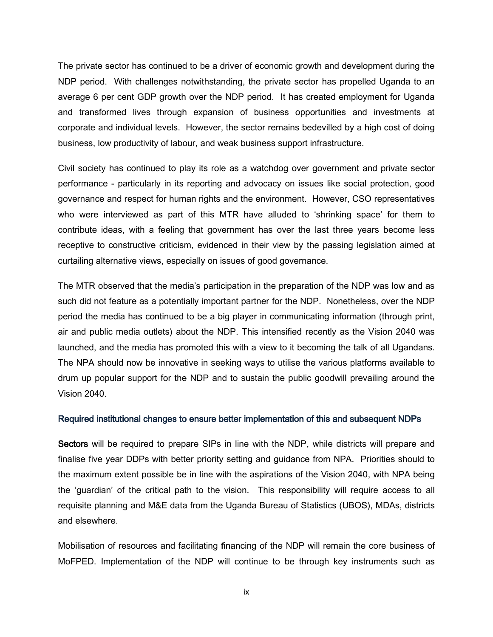The private sector has continued to be a driver of economic growth and development during the NDP period. With challenges notwithstanding, the private sector has propelled Uganda to an average 6 per cent GDP growth over the NDP period. It has created employment for Uganda and transformed lives through expansion of business opportunities and investments at corporate and individual levels. However, the sector remains bedevilled by a high cost of doing business, low productivity of labour, and weak business support infrastructure.

Civil society has continued to play its role as a watchdog over government and private sector performance - particularly in its reporting and advocacy on issues like social protection, good governance and respect for human rights and the environment. However, CSO representatives who were interviewed as part of this MTR have alluded to 'shrinking space' for them to contribute ideas, with a feeling that government has over the last three years become less receptive to constructive criticism, evidenced in their view by the passing legislation aimed at curtailing alternative views, especially on issues of good governance.

The MTR observed that the media's participation in the preparation of the NDP was low and as such did not feature as a potentially important partner for the NDP. Nonetheless, over the NDP period the media has continued to be a big player in communicating information (through print, air and public media outlets) about the NDP. This intensified recently as the Vision 2040 was launched, and the media has promoted this with a view to it becoming the talk of all Ugandans. The NPA should now be innovative in seeking ways to utilise the various platforms available to drum up popular support for the NDP and to sustain the public goodwill prevailing around the Vision 2040.

#### Required institutional changes to ensure better implementation of this and subsequent NDPs

Sectors will be required to prepare SIPs in line with the NDP, while districts will prepare and finalise five year DDPs with better priority setting and guidance from NPA. Priorities should to the maximum extent possible be in line with the aspirations of the Vision 2040, with NPA being the 'guardian' of the critical path to the vision. This responsibility will require access to all requisite planning and M&E data from the Uganda Bureau of Statistics (UBOS), MDAs, districts and elsewhere.

Mobilisation of resources and facilitating financing of the NDP will remain the core business of MoFPED. Implementation of the NDP will continue to be through key instruments such as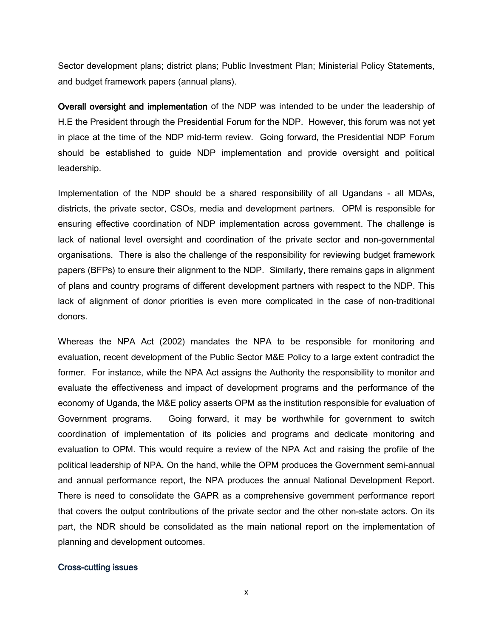Sector development plans; district plans; Public Investment Plan; Ministerial Policy Statements, and budget framework papers (annual plans).

Overall oversight and implementation of the NDP was intended to be under the leadership of H.E the President through the Presidential Forum for the NDP. However, this forum was not yet in place at the time of the NDP mid-term review. Going forward, the Presidential NDP Forum should be established to guide NDP implementation and provide oversight and political leadership.

Implementation of the NDP should be a shared responsibility of all Ugandans - all MDAs, districts, the private sector, CSOs, media and development partners. OPM is responsible for ensuring effective coordination of NDP implementation across government. The challenge is lack of national level oversight and coordination of the private sector and non-governmental organisations. There is also the challenge of the responsibility for reviewing budget framework papers (BFPs) to ensure their alignment to the NDP. Similarly, there remains gaps in alignment of plans and country programs of different development partners with respect to the NDP. This lack of alignment of donor priorities is even more complicated in the case of non-traditional donors.

Whereas the NPA Act (2002) mandates the NPA to be responsible for monitoring and evaluation, recent development of the Public Sector M&E Policy to a large extent contradict the former. For instance, while the NPA Act assigns the Authority the responsibility to monitor and evaluate the effectiveness and impact of development programs and the performance of the economy of Uganda, the M&E policy asserts OPM as the institution responsible for evaluation of Government programs. Going forward, it may be worthwhile for government to switch coordination of implementation of its policies and programs and dedicate monitoring and evaluation to OPM. This would require a review of the NPA Act and raising the profile of the political leadership of NPA. On the hand, while the OPM produces the Government semi-annual and annual performance report, the NPA produces the annual National Development Report. There is need to consolidate the GAPR as a comprehensive government performance report that covers the output contributions of the private sector and the other non-state actors. On its part, the NDR should be consolidated as the main national report on the implementation of planning and development outcomes.

#### Cross-cutting issues

x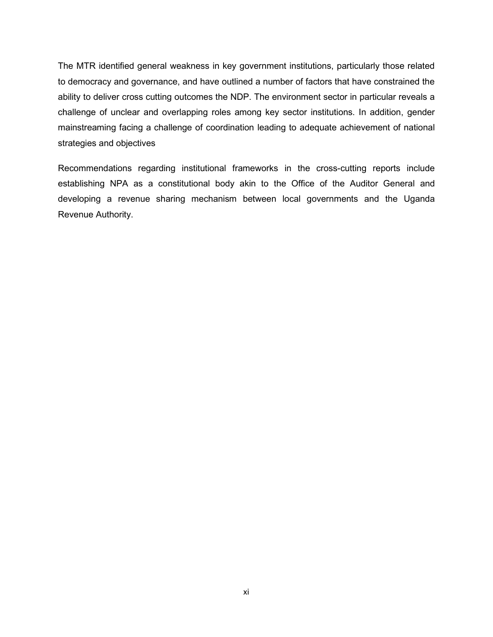The MTR identified general weakness in key government institutions, particularly those related to democracy and governance, and have outlined a number of factors that have constrained the ability to deliver cross cutting outcomes the NDP. The environment sector in particular reveals a challenge of unclear and overlapping roles among key sector institutions. In addition, gender mainstreaming facing a challenge of coordination leading to adequate achievement of national strategies and objectives

Recommendations regarding institutional frameworks in the cross-cutting reports include establishing NPA as a constitutional body akin to the Office of the Auditor General and developing a revenue sharing mechanism between local governments and the Uganda Revenue Authority.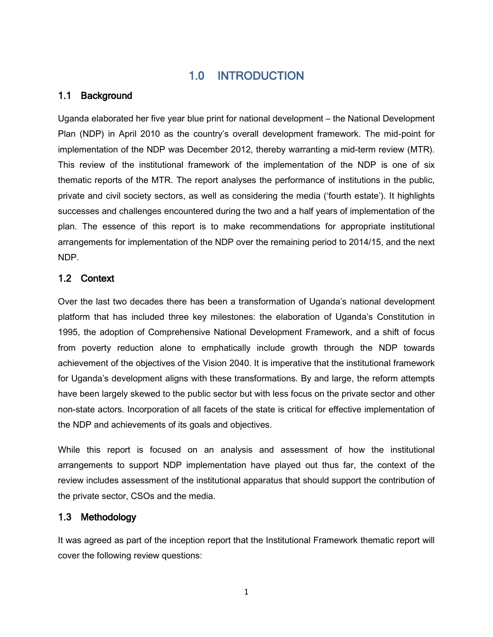## 1.0 INTRODUCTION

## <span id="page-11-1"></span><span id="page-11-0"></span>1.1 Background

Uganda elaborated her five year blue print for national development – the National Development Plan (NDP) in April 2010 as the country's overall development framework. The mid-point for implementation of the NDP was December 2012, thereby warranting a mid-term review (MTR). This review of the institutional framework of the implementation of the NDP is one of six thematic reports of the MTR. The report analyses the performance of institutions in the public, private and civil society sectors, as well as considering the media ('fourth estate'). It highlights successes and challenges encountered during the two and a half years of implementation of the plan. The essence of this report is to make recommendations for appropriate institutional arrangements for implementation of the NDP over the remaining period to 2014/15, and the next NDP.

#### <span id="page-11-2"></span>1.2 Context

Over the last two decades there has been a transformation of Uganda's national development platform that has included three key milestones: the elaboration of Uganda's Constitution in 1995, the adoption of Comprehensive National Development Framework, and a shift of focus from poverty reduction alone to emphatically include growth through the NDP towards achievement of the objectives of the Vision 2040. It is imperative that the institutional framework for Uganda's development aligns with these transformations. By and large, the reform attempts have been largely skewed to the public sector but with less focus on the private sector and other non-state actors. Incorporation of all facets of the state is critical for effective implementation of the NDP and achievements of its goals and objectives.

While this report is focused on an analysis and assessment of how the institutional arrangements to support NDP implementation have played out thus far, the context of the review includes assessment of the institutional apparatus that should support the contribution of the private sector, CSOs and the media.

## <span id="page-11-3"></span>1.3 Methodology

It was agreed as part of the inception report that the Institutional Framework thematic report will cover the following review questions: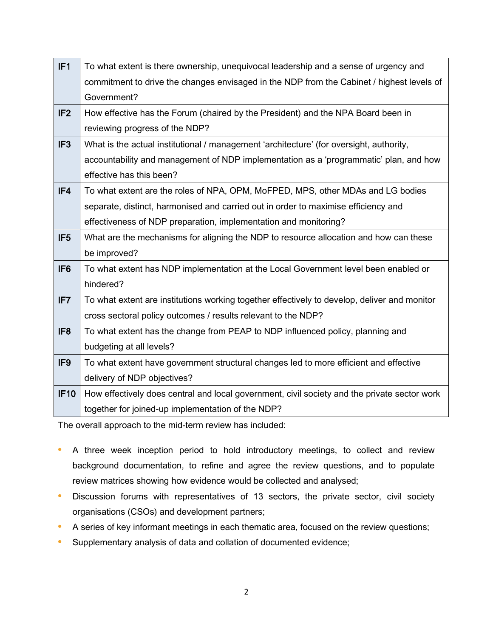| IF <sub>1</sub> | To what extent is there ownership, unequivocal leadership and a sense of urgency and         |  |  |  |
|-----------------|----------------------------------------------------------------------------------------------|--|--|--|
|                 | commitment to drive the changes envisaged in the NDP from the Cabinet / highest levels of    |  |  |  |
|                 | Government?                                                                                  |  |  |  |
| IF <sub>2</sub> | How effective has the Forum (chaired by the President) and the NPA Board been in             |  |  |  |
|                 | reviewing progress of the NDP?                                                               |  |  |  |
| IF <sub>3</sub> | What is the actual institutional / management 'architecture' (for oversight, authority,      |  |  |  |
|                 | accountability and management of NDP implementation as a 'programmatic' plan, and how        |  |  |  |
|                 | effective has this been?                                                                     |  |  |  |
| IF4             | To what extent are the roles of NPA, OPM, MoFPED, MPS, other MDAs and LG bodies              |  |  |  |
|                 | separate, distinct, harmonised and carried out in order to maximise efficiency and           |  |  |  |
|                 | effectiveness of NDP preparation, implementation and monitoring?                             |  |  |  |
| IF <sub>5</sub> | What are the mechanisms for aligning the NDP to resource allocation and how can these        |  |  |  |
|                 | be improved?                                                                                 |  |  |  |
| IF <sub>6</sub> | To what extent has NDP implementation at the Local Government level been enabled or          |  |  |  |
|                 | hindered?                                                                                    |  |  |  |
| IF7             | To what extent are institutions working together effectively to develop, deliver and monitor |  |  |  |
|                 | cross sectoral policy outcomes / results relevant to the NDP?                                |  |  |  |
| IF <sub>8</sub> | To what extent has the change from PEAP to NDP influenced policy, planning and               |  |  |  |
|                 | budgeting at all levels?                                                                     |  |  |  |
| IF <sub>9</sub> | To what extent have government structural changes led to more efficient and effective        |  |  |  |
|                 | delivery of NDP objectives?                                                                  |  |  |  |
| <b>IF10</b>     | How effectively does central and local government, civil society and the private sector work |  |  |  |
|                 | together for joined-up implementation of the NDP?                                            |  |  |  |

The overall approach to the mid-term review has included:

- **•** A three week inception period to hold introductory meetings, to collect and review background documentation, to refine and agree the review questions, and to populate review matrices showing how evidence would be collected and analysed;
- **•** Discussion forums with representatives of 13 sectors, the private sector, civil society organisations (CSOs) and development partners;
- **•** A series of key informant meetings in each thematic area, focused on the review questions;
- **•** Supplementary analysis of data and collation of documented evidence;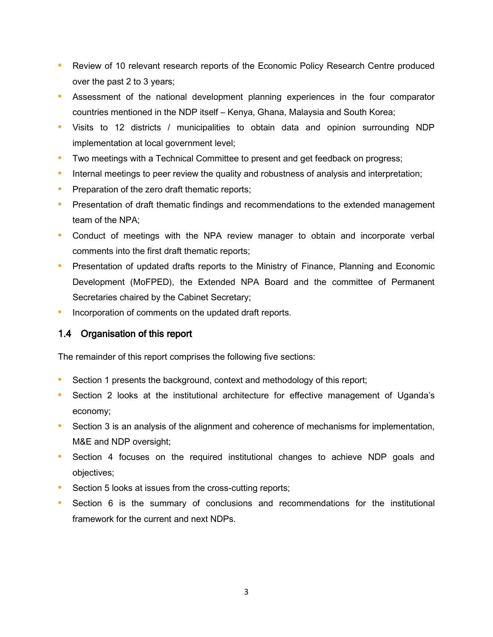- **•** Review of 10 relevant research reports of the Economic Policy Research Centre produced over the past 2 to 3 years;
- **•** Assessment of the national development planning experiences in the four comparator countries mentioned in the NDP itself – Kenya, Ghana, Malaysia and South Korea;
- **•** Visits to 12 districts / municipalities to obtain data and opinion surrounding NDP implementation at local government level;
- **•** Two meetings with a Technical Committee to present and get feedback on progress;
- **•** Internal meetings to peer review the quality and robustness of analysis and interpretation;
- **•** Preparation of the zero draft thematic reports;
- **•** Presentation of draft thematic findings and recommendations to the extended management team of the NPA;
- **•** Conduct of meetings with the NPA review manager to obtain and incorporate verbal comments into the first draft thematic reports;
- **•** Presentation of updated drafts reports to the Ministry of Finance, Planning and Economic Development (MoFPED), the Extended NPA Board and the committee of Permanent Secretaries chaired by the Cabinet Secretary;
- **•** Incorporation of comments on the updated draft reports.

#### <span id="page-13-0"></span>1.4 Organisation of this report

The remainder of this report comprises the following five sections:

- **•** Section 1 presents the background, context and methodology of this report;
- **•** Section 2 looks at the institutional architecture for effective management of Uganda's economy;
- Section 3 is an analysis of the alignment and coherence of mechanisms for implementation, M&E and NDP oversight;
- **•** Section 4 focuses on the required institutional changes to achieve NDP goals and objectives;
- **•** Section 5 looks at issues from the cross-cutting reports;
- **•** Section 6 is the summary of conclusions and recommendations for the institutional framework for the current and next NDPs.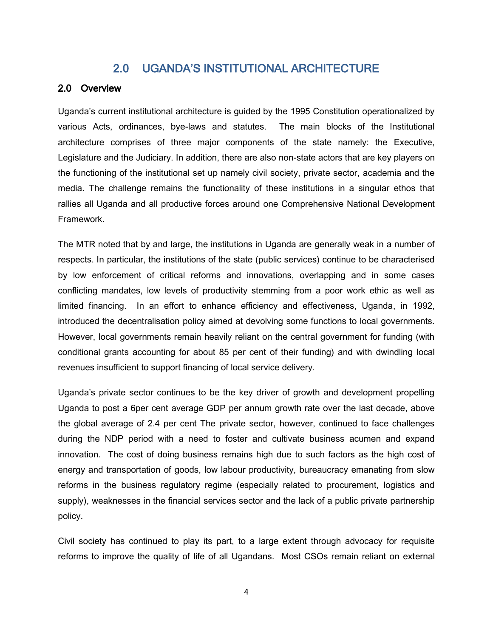## 2.0 UGANDA'S INSTITUTIONAL ARCHITECTURE

#### <span id="page-14-1"></span><span id="page-14-0"></span>2.0 Overview

Uganda's current institutional architecture is guided by the 1995 Constitution operationalized by various Acts, ordinances, bye-laws and statutes. The main blocks of the Institutional architecture comprises of three major components of the state namely: the Executive, Legislature and the Judiciary. In addition, there are also non-state actors that are key players on the functioning of the institutional set up namely civil society, private sector, academia and the media. The challenge remains the functionality of these institutions in a singular ethos that rallies all Uganda and all productive forces around one Comprehensive National Development Framework.

The MTR noted that by and large, the institutions in Uganda are generally weak in a number of respects. In particular, the institutions of the state (public services) continue to be characterised by low enforcement of critical reforms and innovations, overlapping and in some cases conflicting mandates, low levels of productivity stemming from a poor work ethic as well as limited financing. In an effort to enhance efficiency and effectiveness, Uganda, in 1992, introduced the decentralisation policy aimed at devolving some functions to local governments. However, local governments remain heavily reliant on the central government for funding (with conditional grants accounting for about 85 per cent of their funding) and with dwindling local revenues insufficient to support financing of local service delivery.

Uganda's private sector continues to be the key driver of growth and development propelling Uganda to post a 6per cent average GDP per annum growth rate over the last decade, above the global average of 2.4 per cent The private sector, however, continued to face challenges during the NDP period with a need to foster and cultivate business acumen and expand innovation. The cost of doing business remains high due to such factors as the high cost of energy and transportation of goods, low labour productivity, bureaucracy emanating from slow reforms in the business regulatory regime (especially related to procurement, logistics and supply), weaknesses in the financial services sector and the lack of a public private partnership policy.

Civil society has continued to play its part, to a large extent through advocacy for requisite reforms to improve the quality of life of all Ugandans. Most CSOs remain reliant on external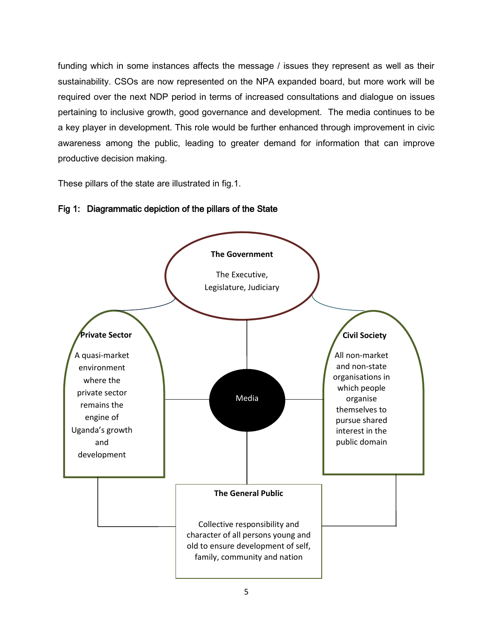funding which in some instances affects the message / issues they represent as well as their sustainability. CSOs are now represented on the NPA expanded board, but more work will be required over the next NDP period in terms of increased consultations and dialogue on issues pertaining to inclusive growth, good governance and development. The media continues to be a key player in development. This role would be further enhanced through improvement in civic awareness among the public, leading to greater demand for information that can improve productive decision making.

These pillars of the state are illustrated in fig.1.



#### Fig 1: Diagrammatic depiction of the pillars of the State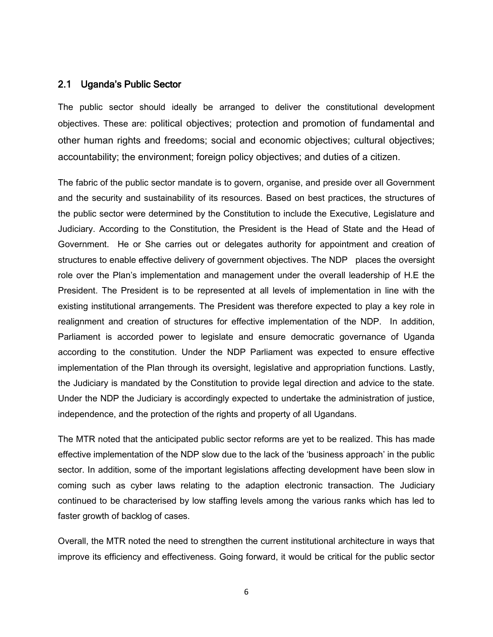#### <span id="page-16-0"></span>2.1 Uganda's Public Sector

The public sector should ideally be arranged to deliver the constitutional development objectives. These are: political objectives; protection and promotion of fundamental and other human rights and freedoms; social and economic objectives; cultural objectives; accountability; the environment; foreign policy objectives; and duties of a citizen.

The fabric of the public sector mandate is to govern, organise, and preside over all Government and the security and sustainability of its resources. Based on best practices, the structures of the public sector were determined by the Constitution to include the Executive, Legislature and Judiciary. According to the Constitution, the President is the Head of State and the Head of Government. He or She carries out or delegates authority for appointment and creation of structures to enable effective delivery of government objectives. The NDP places the oversight role over the Plan's implementation and management under the overall leadership of H.E the President. The President is to be represented at all levels of implementation in line with the existing institutional arrangements. The President was therefore expected to play a key role in realignment and creation of structures for effective implementation of the NDP. In addition, Parliament is accorded power to legislate and ensure democratic governance of Uganda according to the constitution. Under the NDP Parliament was expected to ensure effective implementation of the Plan through its oversight, legislative and appropriation functions. Lastly, the Judiciary is mandated by the Constitution to provide legal direction and advice to the state. Under the NDP the Judiciary is accordingly expected to undertake the administration of justice, independence, and the protection of the rights and property of all Ugandans.

The MTR noted that the anticipated public sector reforms are yet to be realized. This has made effective implementation of the NDP slow due to the lack of the 'business approach' in the public sector. In addition, some of the important legislations affecting development have been slow in coming such as cyber laws relating to the adaption electronic transaction. The Judiciary continued to be characterised by low staffing levels among the various ranks which has led to faster growth of backlog of cases.

Overall, the MTR noted the need to strengthen the current institutional architecture in ways that improve its efficiency and effectiveness. Going forward, it would be critical for the public sector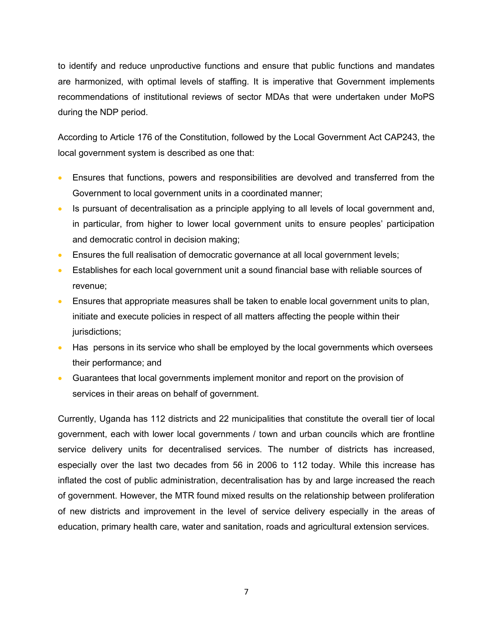to identify and reduce unproductive functions and ensure that public functions and mandates are harmonized, with optimal levels of staffing. It is imperative that Government implements recommendations of institutional reviews of sector MDAs that were undertaken under MoPS during the NDP period.

According to Article 176 of the Constitution, followed by the Local Government Act CAP243, the local government system is described as one that:

- Ensures that functions, powers and responsibilities are devolved and transferred from the Government to local government units in a coordinated manner;
- Is pursuant of decentralisation as a principle applying to all levels of local government and, in particular, from higher to lower local government units to ensure peoples' participation and democratic control in decision making;
- Ensures the full realisation of democratic governance at all local government levels;
- Establishes for each local government unit a sound financial base with reliable sources of revenue;
- Ensures that appropriate measures shall be taken to enable local government units to plan, initiate and execute policies in respect of all matters affecting the people within their jurisdictions;
- Has persons in its service who shall be employed by the local governments which oversees their performance; and
- Guarantees that local governments implement monitor and report on the provision of services in their areas on behalf of government.

Currently, Uganda has 112 districts and 22 municipalities that constitute the overall tier of local government, each with lower local governments / town and urban councils which are frontline service delivery units for decentralised services. The number of districts has increased, especially over the last two decades from 56 in 2006 to 112 today. While this increase has inflated the cost of public administration, decentralisation has by and large increased the reach of government. However, the MTR found mixed results on the relationship between proliferation of new districts and improvement in the level of service delivery especially in the areas of education, primary health care, water and sanitation, roads and agricultural extension services.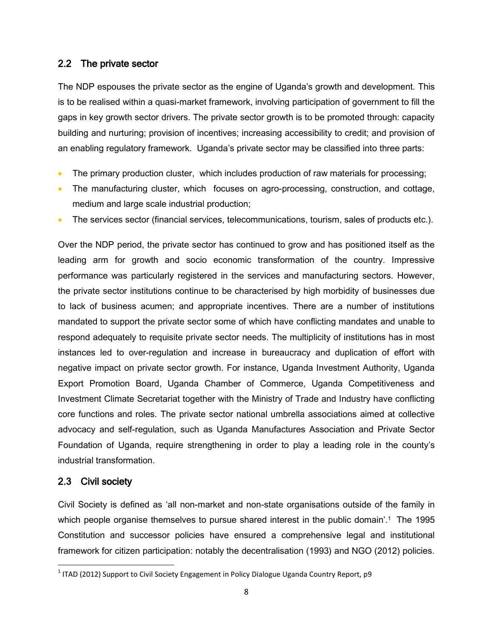#### <span id="page-18-0"></span>2.2 The private sector

The NDP espouses the private sector as the engine of Uganda's growth and development. This is to be realised within a quasi-market framework, involving participation of government to fill the gaps in key growth sector drivers. The private sector growth is to be promoted through: capacity building and nurturing; provision of incentives; increasing accessibility to credit; and provision of an enabling regulatory framework. Uganda's private sector may be classified into three parts:

- The primary production cluster, which includes production of raw materials for processing;
- The manufacturing cluster, which focuses on agro-processing, construction, and cottage, medium and large scale industrial production;
- The services sector (financial services, telecommunications, tourism, sales of products etc.).

Over the NDP period, the private sector has continued to grow and has positioned itself as the leading arm for growth and socio economic transformation of the country. Impressive performance was particularly registered in the services and manufacturing sectors. However, the private sector institutions continue to be characterised by high morbidity of businesses due to lack of business acumen; and appropriate incentives. There are a number of institutions mandated to support the private sector some of which have conflicting mandates and unable to respond adequately to requisite private sector needs. The multiplicity of institutions has in most instances led to over-regulation and increase in bureaucracy and duplication of effort with negative impact on private sector growth. For instance, Uganda Investment Authority, Uganda Export Promotion Board, Uganda Chamber of Commerce, Uganda Competitiveness and Investment Climate Secretariat together with the Ministry of Trade and Industry have conflicting core functions and roles. The private sector national umbrella associations aimed at collective advocacy and self-regulation, such as Uganda Manufactures Association and Private Sector Foundation of Uganda, require strengthening in order to play a leading role in the county's industrial transformation.

## <span id="page-18-1"></span>2.3 Civil society

 $\overline{\phantom{a}}$ 

Civil Society is defined as 'all non-market and non-state organisations outside of the family in which people organise themselves to pursue shared interest in the public domain'.<sup>1</sup> The 1995 Constitution and successor policies have ensured a comprehensive legal and institutional framework for citizen participation: notably the decentralisation (1993) and NGO (2012) policies.

 $^1$  ITAD (2012) Support to Civil Society Engagement in Policy Dialogue Uganda Country Report, p9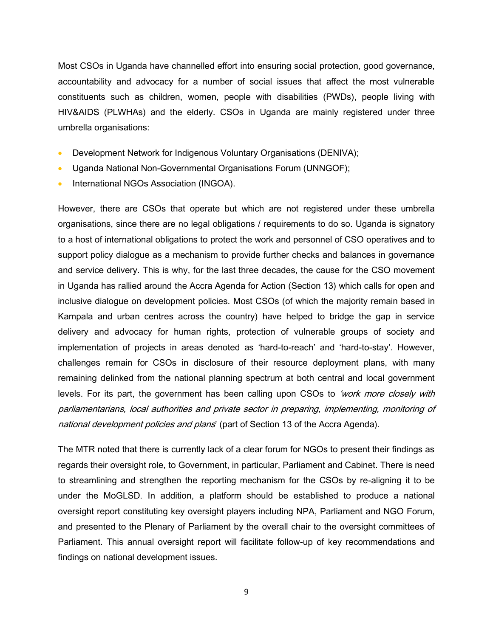Most CSOs in Uganda have channelled effort into ensuring social protection, good governance, accountability and advocacy for a number of social issues that affect the most vulnerable constituents such as children, women, people with disabilities (PWDs), people living with HIV&AIDS (PLWHAs) and the elderly. CSOs in Uganda are mainly registered under three umbrella organisations:

- Development Network for Indigenous Voluntary Organisations (DENIVA);
- Uganda National Non-Governmental Organisations Forum (UNNGOF);
- International NGOs Association (INGOA).

However, there are CSOs that operate but which are not registered under these umbrella organisations, since there are no legal obligations / requirements to do so. Uganda is signatory to a host of international obligations to protect the work and personnel of CSO operatives and to support policy dialogue as a mechanism to provide further checks and balances in governance and service delivery. This is why, for the last three decades, the cause for the CSO movement in Uganda has rallied around the Accra Agenda for Action (Section 13) which calls for open and inclusive dialogue on development policies. Most CSOs (of which the majority remain based in Kampala and urban centres across the country) have helped to bridge the gap in service delivery and advocacy for human rights, protection of vulnerable groups of society and implementation of projects in areas denoted as 'hard-to-reach' and 'hard-to-stay'. However, challenges remain for CSOs in disclosure of their resource deployment plans, with many remaining delinked from the national planning spectrum at both central and local government levels. For its part, the government has been calling upon CSOs to 'work more closely with parliamentarians, local authorities and private sector in preparing, implementing, monitoring of national development policies and plans' (part of Section 13 of the Accra Agenda).

The MTR noted that there is currently lack of a clear forum for NGOs to present their findings as regards their oversight role, to Government, in particular, Parliament and Cabinet. There is need to streamlining and strengthen the reporting mechanism for the CSOs by re-aligning it to be under the MoGLSD. In addition, a platform should be established to produce a national oversight report constituting key oversight players including NPA, Parliament and NGO Forum, and presented to the Plenary of Parliament by the overall chair to the oversight committees of Parliament. This annual oversight report will facilitate follow-up of key recommendations and findings on national development issues.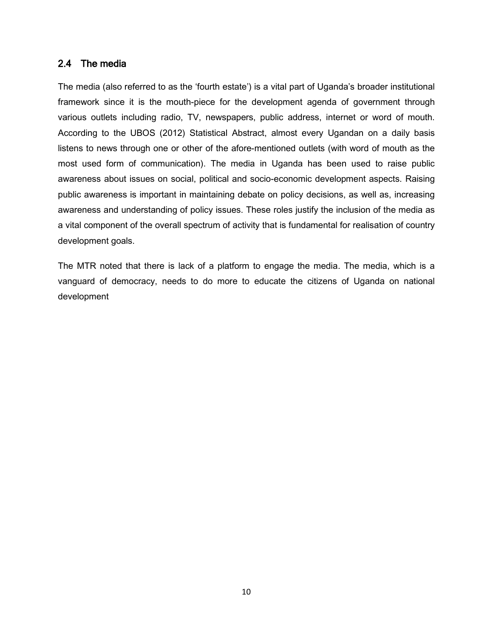#### <span id="page-20-0"></span>2.4 The media

The media (also referred to as the 'fourth estate') is a vital part of Uganda's broader institutional framework since it is the mouth-piece for the development agenda of government through various outlets including radio, TV, newspapers, public address, internet or word of mouth. According to the UBOS (2012) Statistical Abstract, almost every Ugandan on a daily basis listens to news through one or other of the afore-mentioned outlets (with word of mouth as the most used form of communication). The media in Uganda has been used to raise public awareness about issues on social, political and socio-economic development aspects. Raising public awareness is important in maintaining debate on policy decisions, as well as, increasing awareness and understanding of policy issues. These roles justify the inclusion of the media as a vital component of the overall spectrum of activity that is fundamental for realisation of country development goals.

The MTR noted that there is lack of a platform to engage the media. The media, which is a vanguard of democracy, needs to do more to educate the citizens of Uganda on national development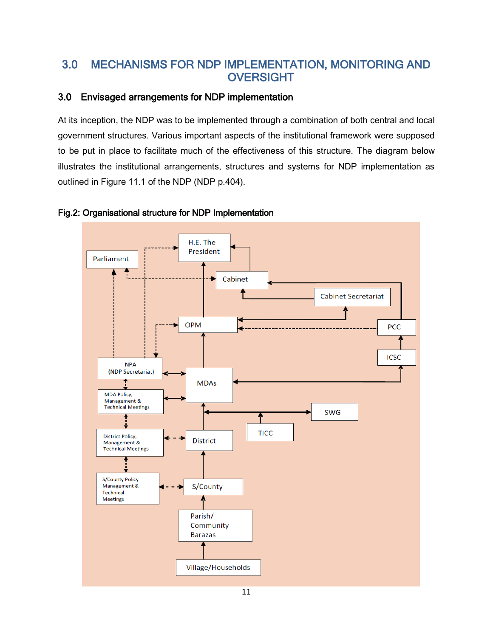## <span id="page-21-0"></span>3.0 MECHANISMS FOR NDP IMPLEMENTATION, MONITORING AND **OVERSIGHT**

## <span id="page-21-1"></span>3.0 Envisaged arrangements for NDP implementation

At its inception, the NDP was to be implemented through a combination of both central and local government structures. Various important aspects of the institutional framework were supposed to be put in place to facilitate much of the effectiveness of this structure. The diagram below illustrates the institutional arrangements, structures and systems for NDP implementation as outlined in Figure 11.1 of the NDP (NDP p.404).



#### Fig.2: Organisational structure for NDP Implementation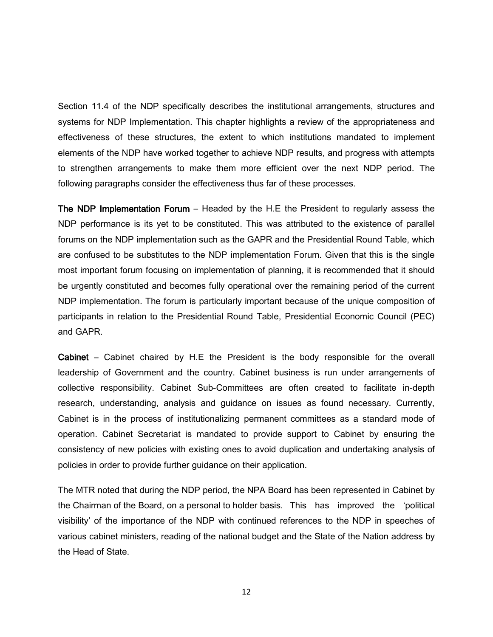Section 11.4 of the NDP specifically describes the institutional arrangements, structures and systems for NDP Implementation. This chapter highlights a review of the appropriateness and effectiveness of these structures, the extent to which institutions mandated to implement elements of the NDP have worked together to achieve NDP results, and progress with attempts to strengthen arrangements to make them more efficient over the next NDP period. The following paragraphs consider the effectiveness thus far of these processes.

The NDP Implementation Forum – Headed by the H.E the President to regularly assess the NDP performance is its yet to be constituted. This was attributed to the existence of parallel forums on the NDP implementation such as the GAPR and the Presidential Round Table, which are confused to be substitutes to the NDP implementation Forum. Given that this is the single most important forum focusing on implementation of planning, it is recommended that it should be urgently constituted and becomes fully operational over the remaining period of the current NDP implementation. The forum is particularly important because of the unique composition of participants in relation to the Presidential Round Table, Presidential Economic Council (PEC) and GAPR.

Cabinet – Cabinet chaired by H.E the President is the body responsible for the overall leadership of Government and the country. Cabinet business is run under arrangements of collective responsibility. Cabinet Sub-Committees are often created to facilitate in-depth research, understanding, analysis and guidance on issues as found necessary. Currently, Cabinet is in the process of institutionalizing permanent committees as a standard mode of operation. Cabinet Secretariat is mandated to provide support to Cabinet by ensuring the consistency of new policies with existing ones to avoid duplication and undertaking analysis of policies in order to provide further guidance on their application.

The MTR noted that during the NDP period, the NPA Board has been represented in Cabinet by the Chairman of the Board, on a personal to holder basis. This has improved the 'political visibility' of the importance of the NDP with continued references to the NDP in speeches of various cabinet ministers, reading of the national budget and the State of the Nation address by the Head of State.

12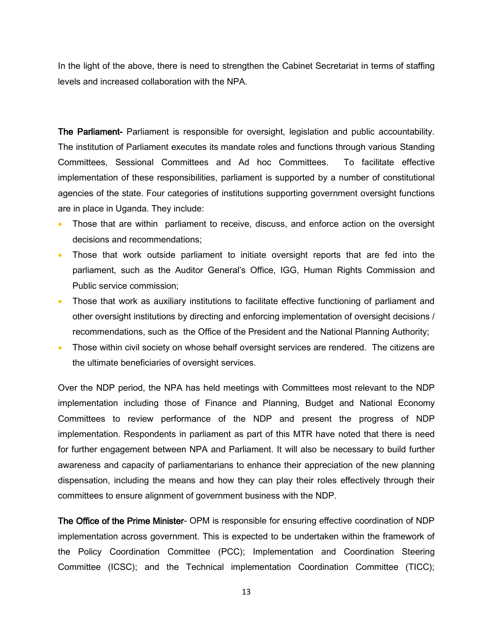In the light of the above, there is need to strengthen the Cabinet Secretariat in terms of staffing levels and increased collaboration with the NPA.

The Parliament- Parliament is responsible for oversight, legislation and public accountability. The institution of Parliament executes its mandate roles and functions through various Standing Committees, Sessional Committees and Ad hoc Committees. To facilitate effective implementation of these responsibilities, parliament is supported by a number of constitutional agencies of the state. Four categories of institutions supporting government oversight functions are in place in Uganda. They include:

- Those that are within parliament to receive, discuss, and enforce action on the oversight decisions and recommendations;
- Those that work outside parliament to initiate oversight reports that are fed into the parliament, such as the Auditor General's Office, IGG, Human Rights Commission and Public service commission;
- Those that work as auxiliary institutions to facilitate effective functioning of parliament and other oversight institutions by directing and enforcing implementation of oversight decisions / recommendations, such as the Office of the President and the National Planning Authority;
- Those within civil society on whose behalf oversight services are rendered. The citizens are the ultimate beneficiaries of oversight services.

Over the NDP period, the NPA has held meetings with Committees most relevant to the NDP implementation including those of Finance and Planning, Budget and National Economy Committees to review performance of the NDP and present the progress of NDP implementation. Respondents in parliament as part of this MTR have noted that there is need for further engagement between NPA and Parliament. It will also be necessary to build further awareness and capacity of parliamentarians to enhance their appreciation of the new planning dispensation, including the means and how they can play their roles effectively through their committees to ensure alignment of government business with the NDP.

The Office of the Prime Minister- OPM is responsible for ensuring effective coordination of NDP implementation across government. This is expected to be undertaken within the framework of the Policy Coordination Committee (PCC); Implementation and Coordination Steering Committee (ICSC); and the Technical implementation Coordination Committee (TICC);

13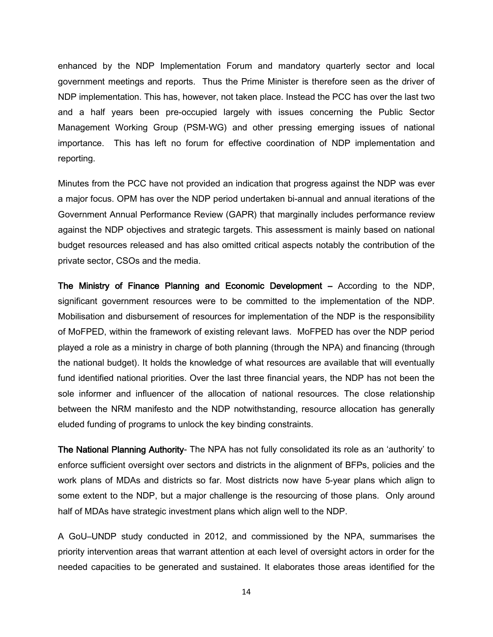enhanced by the NDP Implementation Forum and mandatory quarterly sector and local government meetings and reports. Thus the Prime Minister is therefore seen as the driver of NDP implementation. This has, however, not taken place. Instead the PCC has over the last two and a half years been pre-occupied largely with issues concerning the Public Sector Management Working Group (PSM-WG) and other pressing emerging issues of national importance. This has left no forum for effective coordination of NDP implementation and reporting.

Minutes from the PCC have not provided an indication that progress against the NDP was ever a major focus. OPM has over the NDP period undertaken bi-annual and annual iterations of the Government Annual Performance Review (GAPR) that marginally includes performance review against the NDP objectives and strategic targets. This assessment is mainly based on national budget resources released and has also omitted critical aspects notably the contribution of the private sector, CSOs and the media.

The Ministry of Finance Planning and Economic Development – According to the NDP, significant government resources were to be committed to the implementation of the NDP. Mobilisation and disbursement of resources for implementation of the NDP is the responsibility of MoFPED, within the framework of existing relevant laws. MoFPED has over the NDP period played a role as a ministry in charge of both planning (through the NPA) and financing (through the national budget). It holds the knowledge of what resources are available that will eventually fund identified national priorities. Over the last three financial years, the NDP has not been the sole informer and influencer of the allocation of national resources. The close relationship between the NRM manifesto and the NDP notwithstanding, resource allocation has generally eluded funding of programs to unlock the key binding constraints.

The National Planning Authority- The NPA has not fully consolidated its role as an 'authority' to enforce sufficient oversight over sectors and districts in the alignment of BFPs, policies and the work plans of MDAs and districts so far. Most districts now have 5-year plans which align to some extent to the NDP, but a major challenge is the resourcing of those plans. Only around half of MDAs have strategic investment plans which align well to the NDP.

A GoU–UNDP study conducted in 2012, and commissioned by the NPA, summarises the priority intervention areas that warrant attention at each level of oversight actors in order for the needed capacities to be generated and sustained. It elaborates those areas identified for the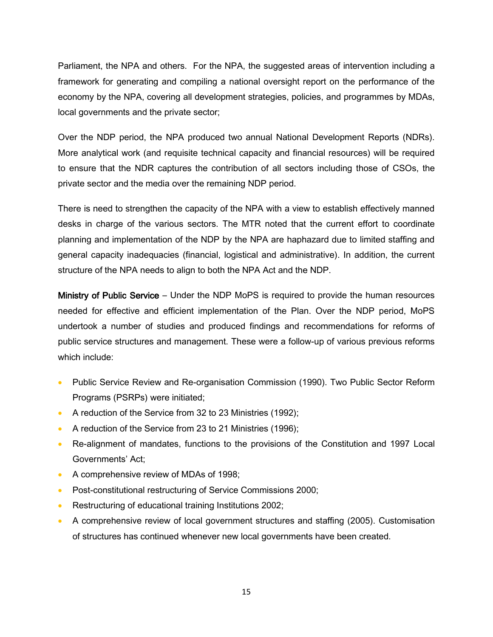Parliament, the NPA and others. For the NPA, the suggested areas of intervention including a framework for generating and compiling a national oversight report on the performance of the economy by the NPA, covering all development strategies, policies, and programmes by MDAs, local governments and the private sector;

Over the NDP period, the NPA produced two annual National Development Reports (NDRs). More analytical work (and requisite technical capacity and financial resources) will be required to ensure that the NDR captures the contribution of all sectors including those of CSOs, the private sector and the media over the remaining NDP period.

There is need to strengthen the capacity of the NPA with a view to establish effectively manned desks in charge of the various sectors. The MTR noted that the current effort to coordinate planning and implementation of the NDP by the NPA are haphazard due to limited staffing and general capacity inadequacies (financial, logistical and administrative). In addition, the current structure of the NPA needs to align to both the NPA Act and the NDP.

Ministry of Public Service – Under the NDP MoPS is required to provide the human resources needed for effective and efficient implementation of the Plan. Over the NDP period, MoPS undertook a number of studies and produced findings and recommendations for reforms of public service structures and management. These were a follow-up of various previous reforms which include:

- Public Service Review and Re-organisation Commission (1990). Two Public Sector Reform Programs (PSRPs) were initiated;
- A reduction of the Service from 32 to 23 Ministries (1992);
- A reduction of the Service from 23 to 21 Ministries (1996);
- Re-alignment of mandates, functions to the provisions of the Constitution and 1997 Local Governments' Act;
- A comprehensive review of MDAs of 1998;
- Post-constitutional restructuring of Service Commissions 2000;
- Restructuring of educational training Institutions 2002;
- A comprehensive review of local government structures and staffing (2005). Customisation of structures has continued whenever new local governments have been created.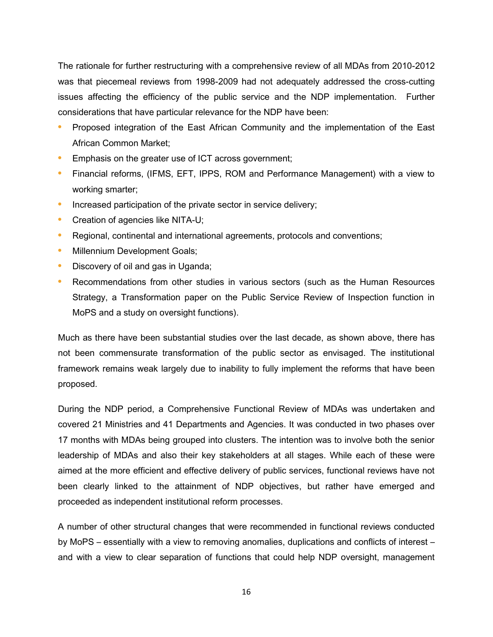The rationale for further restructuring with a comprehensive review of all MDAs from 2010-2012 was that piecemeal reviews from 1998-2009 had not adequately addressed the cross-cutting issues affecting the efficiency of the public service and the NDP implementation. Further considerations that have particular relevance for the NDP have been:

- **•** Proposed integration of the East African Community and the implementation of the East African Common Market;
- **•** Emphasis on the greater use of ICT across government;
- **•** Financial reforms, (IFMS, EFT, IPPS, ROM and Performance Management) with a view to working smarter;
- **•** Increased participation of the private sector in service delivery;
- **•** Creation of agencies like NITA-U;
- **•** Regional, continental and international agreements, protocols and conventions;
- **•** Millennium Development Goals;
- **•** Discovery of oil and gas in Uganda;
- **•** Recommendations from other studies in various sectors (such as the Human Resources Strategy, a Transformation paper on the Public Service Review of Inspection function in MoPS and a study on oversight functions).

Much as there have been substantial studies over the last decade, as shown above, there has not been commensurate transformation of the public sector as envisaged. The institutional framework remains weak largely due to inability to fully implement the reforms that have been proposed.

During the NDP period, a Comprehensive Functional Review of MDAs was undertaken and covered 21 Ministries and 41 Departments and Agencies. It was conducted in two phases over 17 months with MDAs being grouped into clusters. The intention was to involve both the senior leadership of MDAs and also their key stakeholders at all stages. While each of these were aimed at the more efficient and effective delivery of public services, functional reviews have not been clearly linked to the attainment of NDP objectives, but rather have emerged and proceeded as independent institutional reform processes.

A number of other structural changes that were recommended in functional reviews conducted by MoPS – essentially with a view to removing anomalies, duplications and conflicts of interest – and with a view to clear separation of functions that could help NDP oversight, management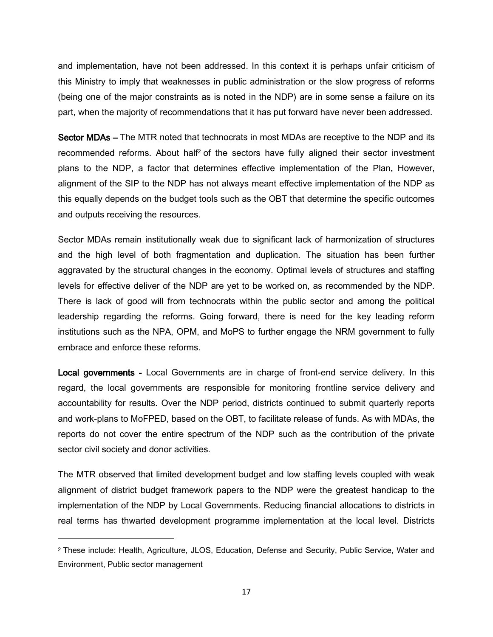and implementation, have not been addressed. In this context it is perhaps unfair criticism of this Ministry to imply that weaknesses in public administration or the slow progress of reforms (being one of the major constraints as is noted in the NDP) are in some sense a failure on its part, when the majority of recommendations that it has put forward have never been addressed.

Sector MDAs – The MTR noted that technocrats in most MDAs are receptive to the NDP and its recommended reforms. About half<sup>2</sup> of the sectors have fully aligned their sector investment plans to the NDP, a factor that determines effective implementation of the Plan. However, alignment of the SIP to the NDP has not always meant effective implementation of the NDP as this equally depends on the budget tools such as the OBT that determine the specific outcomes and outputs receiving the resources.

Sector MDAs remain institutionally weak due to significant lack of harmonization of structures and the high level of both fragmentation and duplication. The situation has been further aggravated by the structural changes in the economy. Optimal levels of structures and staffing levels for effective deliver of the NDP are yet to be worked on, as recommended by the NDP. There is lack of good will from technocrats within the public sector and among the political leadership regarding the reforms. Going forward, there is need for the key leading reform institutions such as the NPA, OPM, and MoPS to further engage the NRM government to fully embrace and enforce these reforms.

Local governments - Local Governments are in charge of front-end service delivery. In this regard, the local governments are responsible for monitoring frontline service delivery and accountability for results. Over the NDP period, districts continued to submit quarterly reports and work-plans to MoFPED, based on the OBT, to facilitate release of funds. As with MDAs, the reports do not cover the entire spectrum of the NDP such as the contribution of the private sector civil society and donor activities.

The MTR observed that limited development budget and low staffing levels coupled with weak alignment of district budget framework papers to the NDP were the greatest handicap to the implementation of the NDP by Local Governments. Reducing financial allocations to districts in real terms has thwarted development programme implementation at the local level. Districts

 $\overline{\phantom{a}}$ 

<sup>2</sup> These include: Health, Agriculture, JLOS, Education, Defense and Security, Public Service, Water and Environment, Public sector management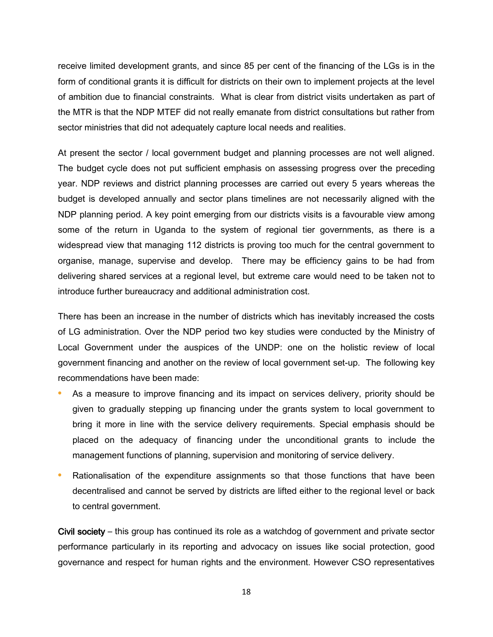receive limited development grants, and since 85 per cent of the financing of the LGs is in the form of conditional grants it is difficult for districts on their own to implement projects at the level of ambition due to financial constraints. What is clear from district visits undertaken as part of the MTR is that the NDP MTEF did not really emanate from district consultations but rather from sector ministries that did not adequately capture local needs and realities.

At present the sector / local government budget and planning processes are not well aligned. The budget cycle does not put sufficient emphasis on assessing progress over the preceding year. NDP reviews and district planning processes are carried out every 5 years whereas the budget is developed annually and sector plans timelines are not necessarily aligned with the NDP planning period. A key point emerging from our districts visits is a favourable view among some of the return in Uganda to the system of regional tier governments, as there is a widespread view that managing 112 districts is proving too much for the central government to organise, manage, supervise and develop. There may be efficiency gains to be had from delivering shared services at a regional level, but extreme care would need to be taken not to introduce further bureaucracy and additional administration cost.

There has been an increase in the number of districts which has inevitably increased the costs of LG administration. Over the NDP period two key studies were conducted by the Ministry of Local Government under the auspices of the UNDP: one on the holistic review of local government financing and another on the review of local government set-up. The following key recommendations have been made:

- **•** As a measure to improve financing and its impact on services delivery, priority should be given to gradually stepping up financing under the grants system to local government to bring it more in line with the service delivery requirements. Special emphasis should be placed on the adequacy of financing under the unconditional grants to include the management functions of planning, supervision and monitoring of service delivery.
- **•** Rationalisation of the expenditure assignments so that those functions that have been decentralised and cannot be served by districts are lifted either to the regional level or back to central government.

Civil society – this group has continued its role as a watchdog of government and private sector performance particularly in its reporting and advocacy on issues like social protection, good governance and respect for human rights and the environment. However CSO representatives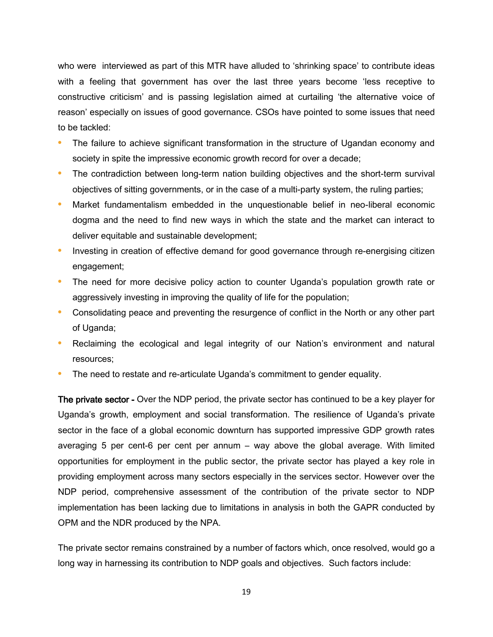who were interviewed as part of this MTR have alluded to 'shrinking space' to contribute ideas with a feeling that government has over the last three years become 'less receptive to constructive criticism' and is passing legislation aimed at curtailing 'the alternative voice of reason' especially on issues of good governance. CSOs have pointed to some issues that need to be tackled:

- **•** The failure to achieve significant transformation in the structure of Ugandan economy and society in spite the impressive economic growth record for over a decade;
- The contradiction between long-term nation building objectives and the short-term survival objectives of sitting governments, or in the case of a multi-party system, the ruling parties;
- **•** Market fundamentalism embedded in the unquestionable belief in neo-liberal economic dogma and the need to find new ways in which the state and the market can interact to deliver equitable and sustainable development;
- Investing in creation of effective demand for good governance through re-energising citizen engagement;
- **•** The need for more decisive policy action to counter Uganda's population growth rate or aggressively investing in improving the quality of life for the population;
- **•** Consolidating peace and preventing the resurgence of conflict in the North or any other part of Uganda;
- **•** Reclaiming the ecological and legal integrity of our Nation's environment and natural resources;
- **•** The need to restate and re-articulate Uganda's commitment to gender equality.

The private sector - Over the NDP period, the private sector has continued to be a key player for Uganda's growth, employment and social transformation. The resilience of Uganda's private sector in the face of a global economic downturn has supported impressive GDP growth rates averaging 5 per cent-6 per cent per annum – way above the global average. With limited opportunities for employment in the public sector, the private sector has played a key role in providing employment across many sectors especially in the services sector. However over the NDP period, comprehensive assessment of the contribution of the private sector to NDP implementation has been lacking due to limitations in analysis in both the GAPR conducted by OPM and the NDR produced by the NPA.

The private sector remains constrained by a number of factors which, once resolved, would go a long way in harnessing its contribution to NDP goals and objectives. Such factors include: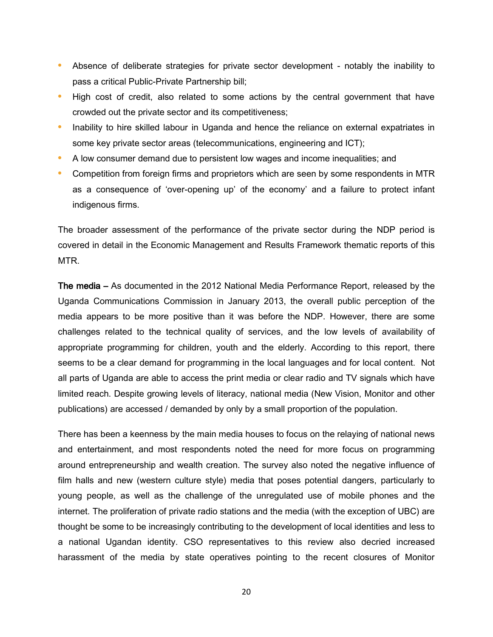- **•** Absence of deliberate strategies for private sector development notably the inability to pass a critical Public-Private Partnership bill;
- **•** High cost of credit, also related to some actions by the central government that have crowded out the private sector and its competitiveness;
- **•** Inability to hire skilled labour in Uganda and hence the reliance on external expatriates in some key private sector areas (telecommunications, engineering and ICT);
- **•** A low consumer demand due to persistent low wages and income inequalities; and
- **•** Competition from foreign firms and proprietors which are seen by some respondents in MTR as a consequence of 'over-opening up' of the economy' and a failure to protect infant indigenous firms.

The broader assessment of the performance of the private sector during the NDP period is covered in detail in the Economic Management and Results Framework thematic reports of this MTR.

The media – As documented in the 2012 National Media Performance Report, released by the Uganda Communications Commission in January 2013, the overall public perception of the media appears to be more positive than it was before the NDP. However, there are some challenges related to the technical quality of services, and the low levels of availability of appropriate programming for children, youth and the elderly. According to this report, there seems to be a clear demand for programming in the local languages and for local content. Not all parts of Uganda are able to access the print media or clear radio and TV signals which have limited reach. Despite growing levels of literacy, national media (New Vision, Monitor and other publications) are accessed / demanded by only by a small proportion of the population.

There has been a keenness by the main media houses to focus on the relaying of national news and entertainment, and most respondents noted the need for more focus on programming around entrepreneurship and wealth creation. The survey also noted the negative influence of film halls and new (western culture style) media that poses potential dangers, particularly to young people, as well as the challenge of the unregulated use of mobile phones and the internet. The proliferation of private radio stations and the media (with the exception of UBC) are thought be some to be increasingly contributing to the development of local identities and less to a national Ugandan identity. CSO representatives to this review also decried increased harassment of the media by state operatives pointing to the recent closures of Monitor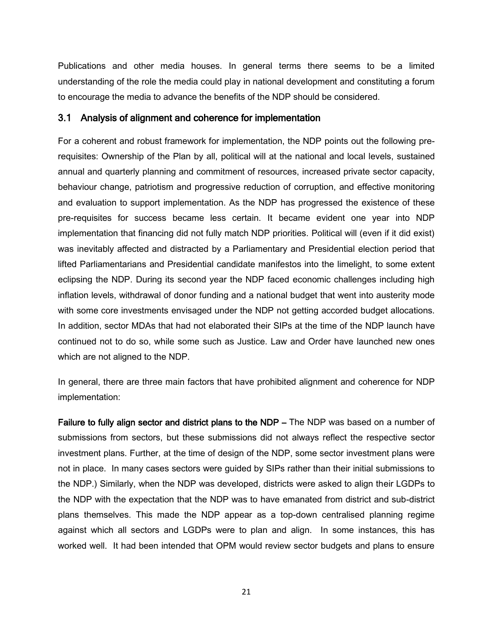Publications and other media houses. In general terms there seems to be a limited understanding of the role the media could play in national development and constituting a forum to encourage the media to advance the benefits of the NDP should be considered.

#### <span id="page-31-0"></span>3.1 Analysis of alignment and coherence for implementation

For a coherent and robust framework for implementation, the NDP points out the following prerequisites: Ownership of the Plan by all, political will at the national and local levels, sustained annual and quarterly planning and commitment of resources, increased private sector capacity, behaviour change, patriotism and progressive reduction of corruption, and effective monitoring and evaluation to support implementation. As the NDP has progressed the existence of these pre-requisites for success became less certain. It became evident one year into NDP implementation that financing did not fully match NDP priorities. Political will (even if it did exist) was inevitably affected and distracted by a Parliamentary and Presidential election period that lifted Parliamentarians and Presidential candidate manifestos into the limelight, to some extent eclipsing the NDP. During its second year the NDP faced economic challenges including high inflation levels, withdrawal of donor funding and a national budget that went into austerity mode with some core investments envisaged under the NDP not getting accorded budget allocations. In addition, sector MDAs that had not elaborated their SIPs at the time of the NDP launch have continued not to do so, while some such as Justice. Law and Order have launched new ones which are not aligned to the NDP.

In general, there are three main factors that have prohibited alignment and coherence for NDP implementation:

Failure to fully align sector and district plans to the NDP – The NDP was based on a number of submissions from sectors, but these submissions did not always reflect the respective sector investment plans. Further, at the time of design of the NDP, some sector investment plans were not in place. In many cases sectors were guided by SIPs rather than their initial submissions to the NDP.) Similarly, when the NDP was developed, districts were asked to align their LGDPs to the NDP with the expectation that the NDP was to have emanated from district and sub-district plans themselves. This made the NDP appear as a top-down centralised planning regime against which all sectors and LGDPs were to plan and align. In some instances, this has worked well. It had been intended that OPM would review sector budgets and plans to ensure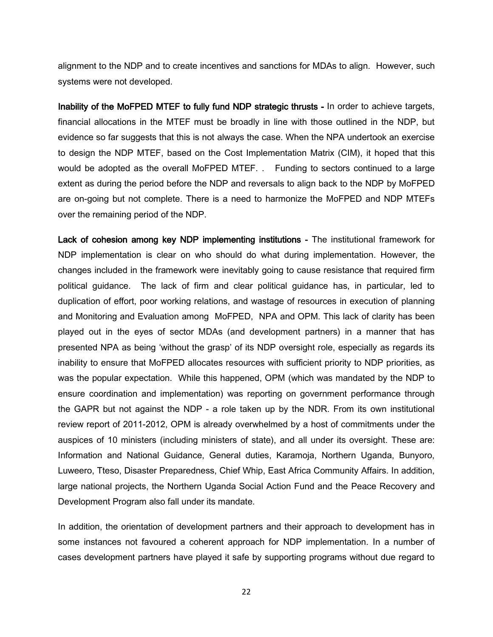alignment to the NDP and to create incentives and sanctions for MDAs to align. However, such systems were not developed.

Inability of the MoFPED MTEF to fully fund NDP strategic thrusts - In order to achieve targets, financial allocations in the MTEF must be broadly in line with those outlined in the NDP, but evidence so far suggests that this is not always the case. When the NPA undertook an exercise to design the NDP MTEF, based on the Cost Implementation Matrix (CIM), it hoped that this would be adopted as the overall MoFPED MTEF. . Funding to sectors continued to a large extent as during the period before the NDP and reversals to align back to the NDP by MoFPED are on-going but not complete. There is a need to harmonize the MoFPED and NDP MTEFs over the remaining period of the NDP.

Lack of cohesion among key NDP implementing institutions - The institutional framework for NDP implementation is clear on who should do what during implementation. However, the changes included in the framework were inevitably going to cause resistance that required firm political guidance. The lack of firm and clear political guidance has, in particular, led to duplication of effort, poor working relations, and wastage of resources in execution of planning and Monitoring and Evaluation among MoFPED, NPA and OPM. This lack of clarity has been played out in the eyes of sector MDAs (and development partners) in a manner that has presented NPA as being 'without the grasp' of its NDP oversight role, especially as regards its inability to ensure that MoFPED allocates resources with sufficient priority to NDP priorities, as was the popular expectation. While this happened, OPM (which was mandated by the NDP to ensure coordination and implementation) was reporting on government performance through the GAPR but not against the NDP - a role taken up by the NDR. From its own institutional review report of 2011-2012, OPM is already overwhelmed by a host of commitments under the auspices of 10 ministers (including ministers of state), and all under its oversight. These are: Information and National Guidance, General duties, Karamoja, Northern Uganda, Bunyoro, Luweero, Tteso, Disaster Preparedness, Chief Whip, East Africa Community Affairs. In addition, large national projects, the Northern Uganda Social Action Fund and the Peace Recovery and Development Program also fall under its mandate.

In addition, the orientation of development partners and their approach to development has in some instances not favoured a coherent approach for NDP implementation. In a number of cases development partners have played it safe by supporting programs without due regard to

22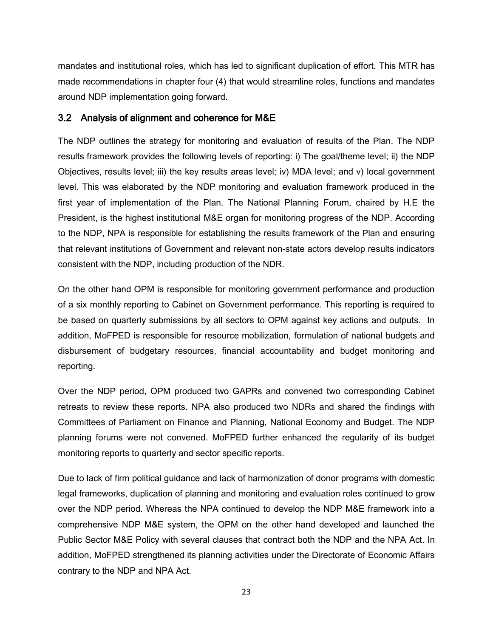mandates and institutional roles, which has led to significant duplication of effort. This MTR has made recommendations in chapter four (4) that would streamline roles, functions and mandates around NDP implementation going forward.

#### <span id="page-33-0"></span>3.2 Analysis of alignment and coherence for M&E

The NDP outlines the strategy for monitoring and evaluation of results of the Plan. The NDP results framework provides the following levels of reporting: i) The goal/theme level; ii) the NDP Objectives, results level; iii) the key results areas level; iv) MDA level; and v) local government level. This was elaborated by the NDP monitoring and evaluation framework produced in the first year of implementation of the Plan. The National Planning Forum, chaired by H.E the President, is the highest institutional M&E organ for monitoring progress of the NDP. According to the NDP, NPA is responsible for establishing the results framework of the Plan and ensuring that relevant institutions of Government and relevant non-state actors develop results indicators consistent with the NDP, including production of the NDR.

On the other hand OPM is responsible for monitoring government performance and production of a six monthly reporting to Cabinet on Government performance. This reporting is required to be based on quarterly submissions by all sectors to OPM against key actions and outputs. In addition, MoFPED is responsible for resource mobilization, formulation of national budgets and disbursement of budgetary resources, financial accountability and budget monitoring and reporting.

Over the NDP period, OPM produced two GAPRs and convened two corresponding Cabinet retreats to review these reports. NPA also produced two NDRs and shared the findings with Committees of Parliament on Finance and Planning, National Economy and Budget. The NDP planning forums were not convened. MoFPED further enhanced the regularity of its budget monitoring reports to quarterly and sector specific reports.

Due to lack of firm political guidance and lack of harmonization of donor programs with domestic legal frameworks, duplication of planning and monitoring and evaluation roles continued to grow over the NDP period. Whereas the NPA continued to develop the NDP M&E framework into a comprehensive NDP M&E system, the OPM on the other hand developed and launched the Public Sector M&E Policy with several clauses that contract both the NDP and the NPA Act. In addition, MoFPED strengthened its planning activities under the Directorate of Economic Affairs contrary to the NDP and NPA Act.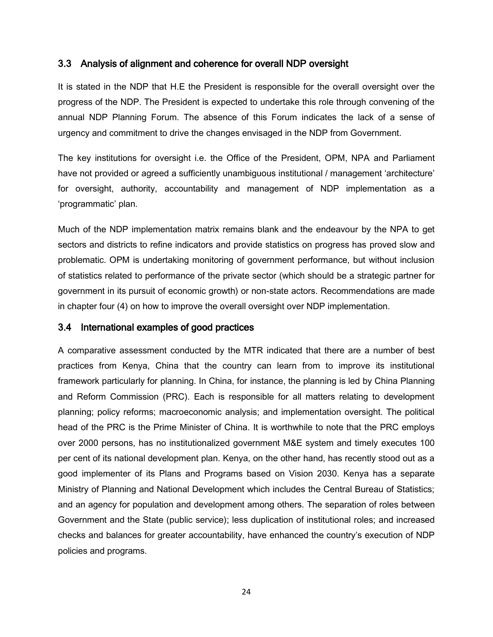#### <span id="page-34-0"></span>3.3 Analysis of alignment and coherence for overall NDP oversight

It is stated in the NDP that H.E the President is responsible for the overall oversight over the progress of the NDP. The President is expected to undertake this role through convening of the annual NDP Planning Forum. The absence of this Forum indicates the lack of a sense of urgency and commitment to drive the changes envisaged in the NDP from Government.

The key institutions for oversight i.e. the Office of the President, OPM, NPA and Parliament have not provided or agreed a sufficiently unambiguous institutional / management 'architecture' for oversight, authority, accountability and management of NDP implementation as a 'programmatic' plan.

Much of the NDP implementation matrix remains blank and the endeavour by the NPA to get sectors and districts to refine indicators and provide statistics on progress has proved slow and problematic. OPM is undertaking monitoring of government performance, but without inclusion of statistics related to performance of the private sector (which should be a strategic partner for government in its pursuit of economic growth) or non-state actors. Recommendations are made in chapter four (4) on how to improve the overall oversight over NDP implementation.

#### <span id="page-34-1"></span>3.4 International examples of good practices

A comparative assessment conducted by the MTR indicated that there are a number of best practices from Kenya, China that the country can learn from to improve its institutional framework particularly for planning. In China, for instance, the planning is led by China Planning and Reform Commission (PRC). Each is responsible for all matters relating to development planning; policy reforms; macroeconomic analysis; and implementation oversight. The political head of the PRC is the Prime Minister of China. It is worthwhile to note that the PRC employs over 2000 persons, has no institutionalized government M&E system and timely executes 100 per cent of its national development plan. Kenya, on the other hand, has recently stood out as a good implementer of its Plans and Programs based on Vision 2030. Kenya has a separate Ministry of Planning and National Development which includes the Central Bureau of Statistics; and an agency for population and development among others. The separation of roles between Government and the State (public service); less duplication of institutional roles; and increased checks and balances for greater accountability, have enhanced the country's execution of NDP policies and programs.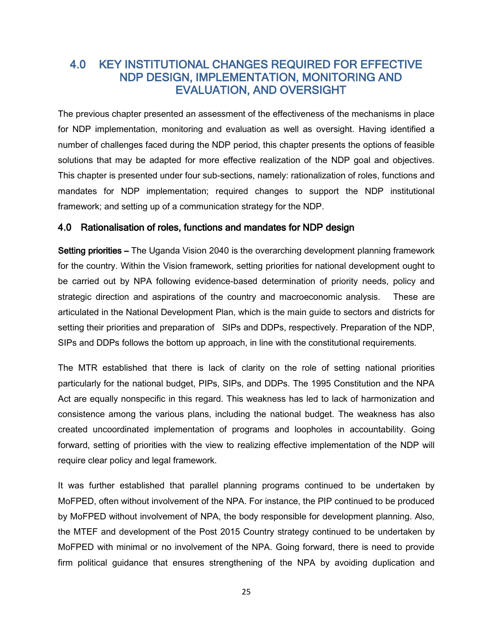## <span id="page-35-0"></span>4.0 KEY INSTITUTIONAL CHANGES REQUIRED FOR EFFECTIVE NDP DESIGN, IMPLEMENTATION, MONITORING AND EVALUATION, AND OVERSIGHT

The previous chapter presented an assessment of the effectiveness of the mechanisms in place for NDP implementation, monitoring and evaluation as well as oversight. Having identified a number of challenges faced during the NDP period, this chapter presents the options of feasible solutions that may be adapted for more effective realization of the NDP goal and objectives. This chapter is presented under four sub-sections, namely: rationalization of roles, functions and mandates for NDP implementation; required changes to support the NDP institutional framework; and setting up of a communication strategy for the NDP.

#### <span id="page-35-1"></span>4.0 Rationalisation of roles, functions and mandates for NDP design

Setting priorities – The Uganda Vision 2040 is the overarching development planning framework for the country. Within the Vision framework, setting priorities for national development ought to be carried out by NPA following evidence-based determination of priority needs, policy and strategic direction and aspirations of the country and macroeconomic analysis. These are articulated in the National Development Plan, which is the main guide to sectors and districts for setting their priorities and preparation of SIPs and DDPs, respectively. Preparation of the NDP, SIPs and DDPs follows the bottom up approach, in line with the constitutional requirements.

The MTR established that there is lack of clarity on the role of setting national priorities particularly for the national budget, PIPs, SIPs, and DDPs. The 1995 Constitution and the NPA Act are equally nonspecific in this regard. This weakness has led to lack of harmonization and consistence among the various plans, including the national budget. The weakness has also created uncoordinated implementation of programs and loopholes in accountability. Going forward, setting of priorities with the view to realizing effective implementation of the NDP will require clear policy and legal framework.

It was further established that parallel planning programs continued to be undertaken by MoFPED, often without involvement of the NPA. For instance, the PIP continued to be produced by MoFPED without involvement of NPA, the body responsible for development planning. Also, the MTEF and development of the Post 2015 Country strategy continued to be undertaken by MoFPED with minimal or no involvement of the NPA. Going forward, there is need to provide firm political guidance that ensures strengthening of the NPA by avoiding duplication and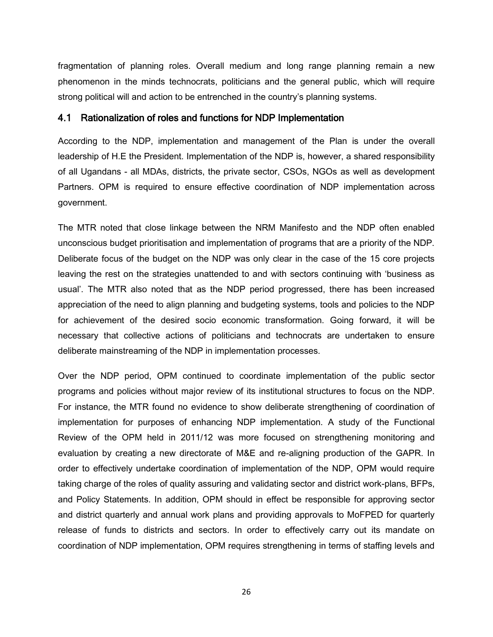fragmentation of planning roles. Overall medium and long range planning remain a new phenomenon in the minds technocrats, politicians and the general public, which will require strong political will and action to be entrenched in the country's planning systems.

#### <span id="page-36-0"></span>4.1 Rationalization of roles and functions for NDP Implementation

According to the NDP, implementation and management of the Plan is under the overall leadership of H.E the President. Implementation of the NDP is, however, a shared responsibility of all Ugandans - all MDAs, districts, the private sector, CSOs, NGOs as well as development Partners. OPM is required to ensure effective coordination of NDP implementation across government.

The MTR noted that close linkage between the NRM Manifesto and the NDP often enabled unconscious budget prioritisation and implementation of programs that are a priority of the NDP. Deliberate focus of the budget on the NDP was only clear in the case of the 15 core projects leaving the rest on the strategies unattended to and with sectors continuing with 'business as usual'. The MTR also noted that as the NDP period progressed, there has been increased appreciation of the need to align planning and budgeting systems, tools and policies to the NDP for achievement of the desired socio economic transformation. Going forward, it will be necessary that collective actions of politicians and technocrats are undertaken to ensure deliberate mainstreaming of the NDP in implementation processes.

Over the NDP period, OPM continued to coordinate implementation of the public sector programs and policies without major review of its institutional structures to focus on the NDP. For instance, the MTR found no evidence to show deliberate strengthening of coordination of implementation for purposes of enhancing NDP implementation. A study of the Functional Review of the OPM held in 2011/12 was more focused on strengthening monitoring and evaluation by creating a new directorate of M&E and re-aligning production of the GAPR. In order to effectively undertake coordination of implementation of the NDP, OPM would require taking charge of the roles of quality assuring and validating sector and district work-plans, BFPs, and Policy Statements. In addition, OPM should in effect be responsible for approving sector and district quarterly and annual work plans and providing approvals to MoFPED for quarterly release of funds to districts and sectors. In order to effectively carry out its mandate on coordination of NDP implementation, OPM requires strengthening in terms of staffing levels and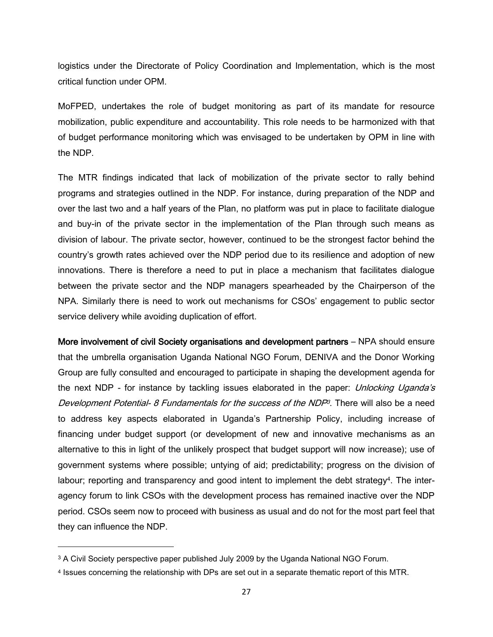logistics under the Directorate of Policy Coordination and Implementation, which is the most critical function under OPM.

MoFPED, undertakes the role of budget monitoring as part of its mandate for resource mobilization, public expenditure and accountability. This role needs to be harmonized with that of budget performance monitoring which was envisaged to be undertaken by OPM in line with the NDP.

The MTR findings indicated that lack of mobilization of the private sector to rally behind programs and strategies outlined in the NDP. For instance, during preparation of the NDP and over the last two and a half years of the Plan, no platform was put in place to facilitate dialogue and buy-in of the private sector in the implementation of the Plan through such means as division of labour. The private sector, however, continued to be the strongest factor behind the country's growth rates achieved over the NDP period due to its resilience and adoption of new innovations. There is therefore a need to put in place a mechanism that facilitates dialogue between the private sector and the NDP managers spearheaded by the Chairperson of the NPA. Similarly there is need to work out mechanisms for CSOs' engagement to public sector service delivery while avoiding duplication of effort.

More involvement of civil Society organisations and development partners – NPA should ensure that the umbrella organisation Uganda National NGO Forum, DENIVA and the Donor Working Group are fully consulted and encouraged to participate in shaping the development agenda for the next NDP - for instance by tackling issues elaborated in the paper: *Unlocking Uganda's* Development Potential- 8 Fundamentals for the success of the NDP<sup>3</sup>. There will also be a need to address key aspects elaborated in Uganda's Partnership Policy, including increase of financing under budget support (or development of new and innovative mechanisms as an alternative to this in light of the unlikely prospect that budget support will now increase); use of government systems where possible; untying of aid; predictability; progress on the division of labour; reporting and transparency and good intent to implement the debt strategy<sup>4</sup>. The interagency forum to link CSOs with the development process has remained inactive over the NDP period. CSOs seem now to proceed with business as usual and do not for the most part feel that they can influence the NDP.

 $\overline{\phantom{a}}$ 

<sup>3</sup> A Civil Society perspective paper published July 2009 by the Uganda National NGO Forum.

<sup>4</sup> Issues concerning the relationship with DPs are set out in a separate thematic report of this MTR.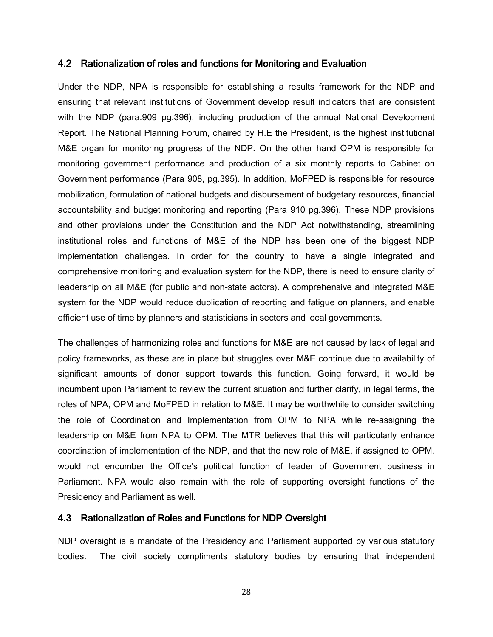#### <span id="page-38-0"></span>4.2 Rationalization of roles and functions for Monitoring and Evaluation

Under the NDP, NPA is responsible for establishing a results framework for the NDP and ensuring that relevant institutions of Government develop result indicators that are consistent with the NDP (para.909 pg.396), including production of the annual National Development Report. The National Planning Forum, chaired by H.E the President, is the highest institutional M&E organ for monitoring progress of the NDP. On the other hand OPM is responsible for monitoring government performance and production of a six monthly reports to Cabinet on Government performance (Para 908, pg.395). In addition, MoFPED is responsible for resource mobilization, formulation of national budgets and disbursement of budgetary resources, financial accountability and budget monitoring and reporting (Para 910 pg.396). These NDP provisions and other provisions under the Constitution and the NDP Act notwithstanding, streamlining institutional roles and functions of M&E of the NDP has been one of the biggest NDP implementation challenges. In order for the country to have a single integrated and comprehensive monitoring and evaluation system for the NDP, there is need to ensure clarity of leadership on all M&E (for public and non-state actors). A comprehensive and integrated M&E system for the NDP would reduce duplication of reporting and fatigue on planners, and enable efficient use of time by planners and statisticians in sectors and local governments.

The challenges of harmonizing roles and functions for M&E are not caused by lack of legal and policy frameworks, as these are in place but struggles over M&E continue due to availability of significant amounts of donor support towards this function. Going forward, it would be incumbent upon Parliament to review the current situation and further clarify, in legal terms, the roles of NPA, OPM and MoFPED in relation to M&E. It may be worthwhile to consider switching the role of Coordination and Implementation from OPM to NPA while re-assigning the leadership on M&E from NPA to OPM. The MTR believes that this will particularly enhance coordination of implementation of the NDP, and that the new role of M&E, if assigned to OPM, would not encumber the Office's political function of leader of Government business in Parliament. NPA would also remain with the role of supporting oversight functions of the Presidency and Parliament as well.

#### <span id="page-38-1"></span>4.3 Rationalization of Roles and Functions for NDP Oversight

NDP oversight is a mandate of the Presidency and Parliament supported by various statutory bodies. The civil society compliments statutory bodies by ensuring that independent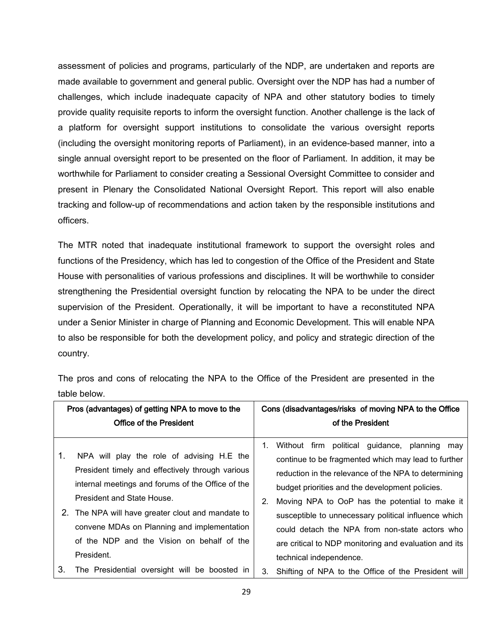assessment of policies and programs, particularly of the NDP, are undertaken and reports are made available to government and general public. Oversight over the NDP has had a number of challenges, which include inadequate capacity of NPA and other statutory bodies to timely provide quality requisite reports to inform the oversight function. Another challenge is the lack of a platform for oversight support institutions to consolidate the various oversight reports (including the oversight monitoring reports of Parliament), in an evidence-based manner, into a single annual oversight report to be presented on the floor of Parliament. In addition, it may be worthwhile for Parliament to consider creating a Sessional Oversight Committee to consider and present in Plenary the Consolidated National Oversight Report. This report will also enable tracking and follow-up of recommendations and action taken by the responsible institutions and officers.

The MTR noted that inadequate institutional framework to support the oversight roles and functions of the Presidency, which has led to congestion of the Office of the President and State House with personalities of various professions and disciplines. It will be worthwhile to consider strengthening the Presidential oversight function by relocating the NPA to be under the direct supervision of the President. Operationally, it will be important to have a reconstituted NPA under a Senior Minister in charge of Planning and Economic Development. This will enable NPA to also be responsible for both the development policy, and policy and strategic direction of the country.

|    | Pros (advantages) of getting NPA to move to the<br><b>Office of the President</b>                                                                                                                                                                                                                                                                 |    | Cons (disadvantages/risks of moving NPA to the Office<br>of the President                                                                                                                                                                                                                                                                                                                                                                                       |
|----|---------------------------------------------------------------------------------------------------------------------------------------------------------------------------------------------------------------------------------------------------------------------------------------------------------------------------------------------------|----|-----------------------------------------------------------------------------------------------------------------------------------------------------------------------------------------------------------------------------------------------------------------------------------------------------------------------------------------------------------------------------------------------------------------------------------------------------------------|
| 1. | NPA will play the role of advising H.E the<br>President timely and effectively through various<br>internal meetings and forums of the Office of the<br>President and State House.<br>2. The NPA will have greater clout and mandate to<br>convene MDAs on Planning and implementation<br>of the NDP and the Vision on behalf of the<br>President. | 1. | Without firm political guidance, planning may<br>continue to be fragmented which may lead to further<br>reduction in the relevance of the NPA to determining<br>budget priorities and the development policies.<br>Moving NPA to OoP has the potential to make it<br>susceptible to unnecessary political influence which<br>could detach the NPA from non-state actors who<br>are critical to NDP monitoring and evaluation and its<br>technical independence. |
| 3. | The Presidential oversight will be boosted in                                                                                                                                                                                                                                                                                                     | 3. | Shifting of NPA to the Office of the President will                                                                                                                                                                                                                                                                                                                                                                                                             |

The pros and cons of relocating the NPA to the Office of the President are presented in the table below.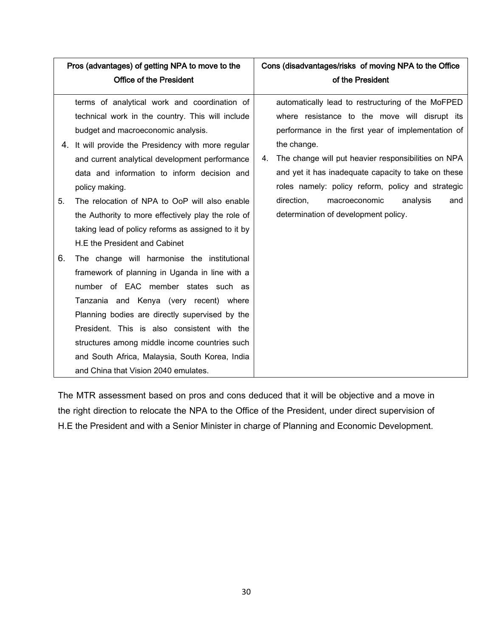| Pros (advantages) of getting NPA to move to the |                                                                                                                                                                                                                                                                                                                                                                                                                            |    | Cons (disadvantages/risks of moving NPA to the Office                                                                                                                                                                                                                                                                                      |
|-------------------------------------------------|----------------------------------------------------------------------------------------------------------------------------------------------------------------------------------------------------------------------------------------------------------------------------------------------------------------------------------------------------------------------------------------------------------------------------|----|--------------------------------------------------------------------------------------------------------------------------------------------------------------------------------------------------------------------------------------------------------------------------------------------------------------------------------------------|
|                                                 | <b>Office of the President</b>                                                                                                                                                                                                                                                                                                                                                                                             |    | of the President                                                                                                                                                                                                                                                                                                                           |
|                                                 | terms of analytical work and coordination of<br>technical work in the country. This will include<br>budget and macroeconomic analysis.<br>4. It will provide the Presidency with more regular<br>and current analytical development performance<br>data and information to inform decision and<br>policy making.                                                                                                           | 4. | automatically lead to restructuring of the MoFPED<br>where resistance to the move will disrupt its<br>performance in the first year of implementation of<br>the change.<br>The change will put heavier responsibilities on NPA<br>and yet it has inadequate capacity to take on these<br>roles namely: policy reform, policy and strategic |
| 5.                                              | The relocation of NPA to OoP will also enable<br>the Authority to more effectively play the role of<br>taking lead of policy reforms as assigned to it by<br>H.E the President and Cabinet                                                                                                                                                                                                                                 |    | direction,<br>macroeconomic<br>analysis<br>and<br>determination of development policy.                                                                                                                                                                                                                                                     |
| 6.                                              | The change will harmonise the institutional<br>framework of planning in Uganda in line with a<br>number of EAC member states such as<br>Tanzania and Kenya (very recent) where<br>Planning bodies are directly supervised by the<br>President. This is also consistent with the<br>structures among middle income countries such<br>and South Africa, Malaysia, South Korea, India<br>and China that Vision 2040 emulates. |    |                                                                                                                                                                                                                                                                                                                                            |

The MTR assessment based on pros and cons deduced that it will be objective and a move in the right direction to relocate the NPA to the Office of the President, under direct supervision of H.E the President and with a Senior Minister in charge of Planning and Economic Development.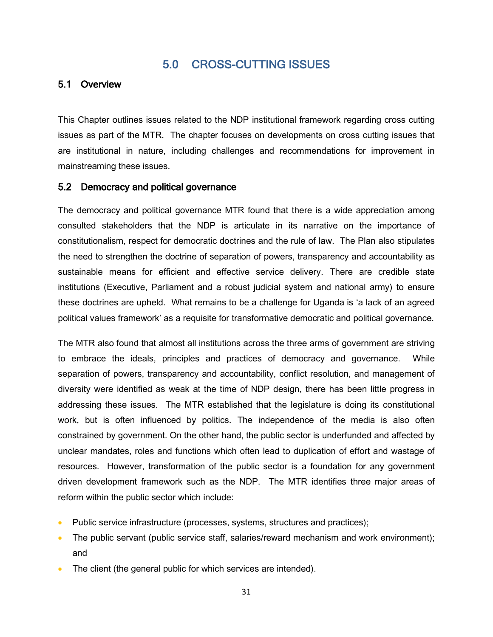## 5.0 CROSS-CUTTING ISSUES

#### <span id="page-41-1"></span><span id="page-41-0"></span>5.1 Overview

This Chapter outlines issues related to the NDP institutional framework regarding cross cutting issues as part of the MTR. The chapter focuses on developments on cross cutting issues that are institutional in nature, including challenges and recommendations for improvement in mainstreaming these issues.

#### <span id="page-41-2"></span>5.2 Democracy and political governance

The democracy and political governance MTR found that there is a wide appreciation among consulted stakeholders that the NDP is articulate in its narrative on the importance of constitutionalism, respect for democratic doctrines and the rule of law. The Plan also stipulates the need to strengthen the doctrine of separation of powers, transparency and accountability as sustainable means for efficient and effective service delivery. There are credible state institutions (Executive, Parliament and a robust judicial system and national army) to ensure these doctrines are upheld. What remains to be a challenge for Uganda is 'a lack of an agreed political values framework' as a requisite for transformative democratic and political governance.

The MTR also found that almost all institutions across the three arms of government are striving to embrace the ideals, principles and practices of democracy and governance. While separation of powers, transparency and accountability, conflict resolution, and management of diversity were identified as weak at the time of NDP design, there has been little progress in addressing these issues. The MTR established that the legislature is doing its constitutional work, but is often influenced by politics. The independence of the media is also often constrained by government. On the other hand, the public sector is underfunded and affected by unclear mandates, roles and functions which often lead to duplication of effort and wastage of resources. However, transformation of the public sector is a foundation for any government driven development framework such as the NDP. The MTR identifies three major areas of reform within the public sector which include:

- Public service infrastructure (processes, systems, structures and practices);
- The public servant (public service staff, salaries/reward mechanism and work environment); and
- The client (the general public for which services are intended).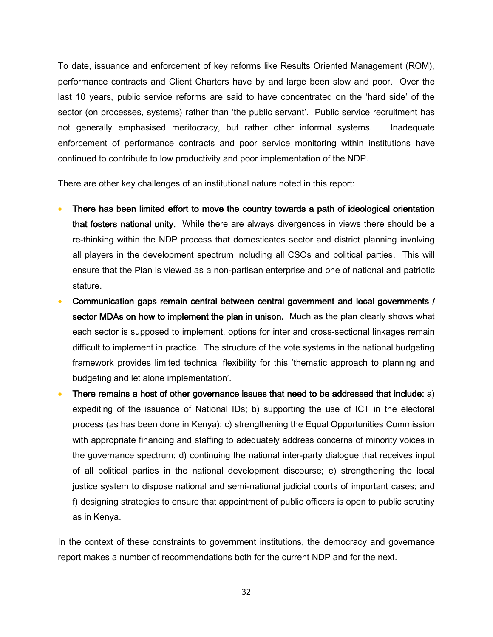To date, issuance and enforcement of key reforms like Results Oriented Management (ROM), performance contracts and Client Charters have by and large been slow and poor. Over the last 10 years, public service reforms are said to have concentrated on the 'hard side' of the sector (on processes, systems) rather than 'the public servant'. Public service recruitment has not generally emphasised meritocracy, but rather other informal systems. Inadequate enforcement of performance contracts and poor service monitoring within institutions have continued to contribute to low productivity and poor implementation of the NDP.

There are other key challenges of an institutional nature noted in this report:

- There has been limited effort to move the country towards a path of ideological orientation that fosters national unity. While there are always divergences in views there should be a re-thinking within the NDP process that domesticates sector and district planning involving all players in the development spectrum including all CSOs and political parties. This will ensure that the Plan is viewed as a non-partisan enterprise and one of national and patriotic stature.
- Communication gaps remain central between central government and local governments / sector MDAs on how to implement the plan in unison. Much as the plan clearly shows what each sector is supposed to implement, options for inter and cross-sectional linkages remain difficult to implement in practice. The structure of the vote systems in the national budgeting framework provides limited technical flexibility for this 'thematic approach to planning and budgeting and let alone implementation'.
- There remains a host of other governance issues that need to be addressed that include: a) expediting of the issuance of National IDs; b) supporting the use of ICT in the electoral process (as has been done in Kenya); c) strengthening the Equal Opportunities Commission with appropriate financing and staffing to adequately address concerns of minority voices in the governance spectrum; d) continuing the national inter-party dialogue that receives input of all political parties in the national development discourse; e) strengthening the local justice system to dispose national and semi-national judicial courts of important cases; and f) designing strategies to ensure that appointment of public officers is open to public scrutiny as in Kenya.

In the context of these constraints to government institutions, the democracy and governance report makes a number of recommendations both for the current NDP and for the next.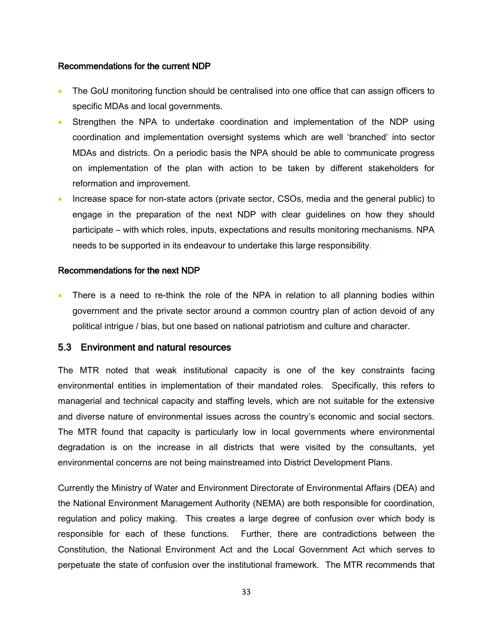#### Recommendations for the current NDP

- The GoU monitoring function should be centralised into one office that can assign officers to specific MDAs and local governments.
- Strengthen the NPA to undertake coordination and implementation of the NDP using coordination and implementation oversight systems which are well 'branched' into sector MDAs and districts. On a periodic basis the NPA should be able to communicate progress on implementation of the plan with action to be taken by different stakeholders for reformation and improvement.
- Increase space for non-state actors (private sector, CSOs, media and the general public) to engage in the preparation of the next NDP with clear guidelines on how they should participate – with which roles, inputs, expectations and results monitoring mechanisms. NPA needs to be supported in its endeavour to undertake this large responsibility.

#### Recommendations for the next NDP

• There is a need to re-think the role of the NPA in relation to all planning bodies within government and the private sector around a common country plan of action devoid of any political intrigue / bias, but one based on national patriotism and culture and character.

#### <span id="page-43-0"></span>5.3 Environment and natural resources

The MTR noted that weak institutional capacity is one of the key constraints facing environmental entities in implementation of their mandated roles. Specifically, this refers to managerial and technical capacity and staffing levels, which are not suitable for the extensive and diverse nature of environmental issues across the country's economic and social sectors. The MTR found that capacity is particularly low in local governments where environmental degradation is on the increase in all districts that were visited by the consultants, yet environmental concerns are not being mainstreamed into District Development Plans.

Currently the Ministry of Water and Environment Directorate of Environmental Affairs (DEA) and the National Environment Management Authority (NEMA) are both responsible for coordination, regulation and policy making. This creates a large degree of confusion over which body is responsible for each of these functions. Further, there are contradictions between the Constitution, the National Environment Act and the Local Government Act which serves to perpetuate the state of confusion over the institutional framework. The MTR recommends that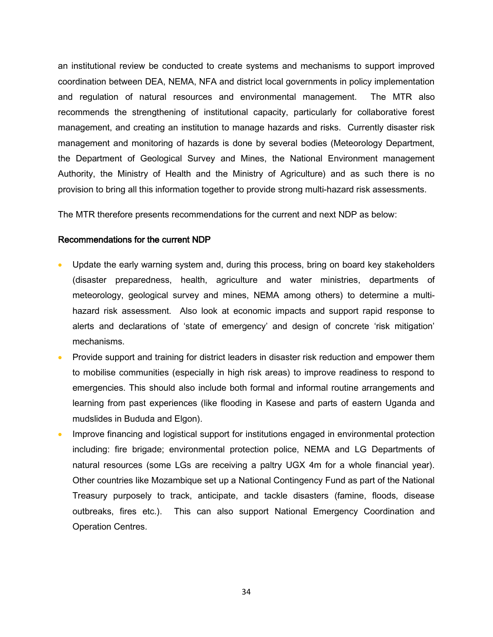an institutional review be conducted to create systems and mechanisms to support improved coordination between DEA, NEMA, NFA and district local governments in policy implementation and regulation of natural resources and environmental management. The MTR also recommends the strengthening of institutional capacity, particularly for collaborative forest management, and creating an institution to manage hazards and risks. Currently disaster risk management and monitoring of hazards is done by several bodies (Meteorology Department, the Department of Geological Survey and Mines, the National Environment management Authority, the Ministry of Health and the Ministry of Agriculture) and as such there is no provision to bring all this information together to provide strong multi-hazard risk assessments.

The MTR therefore presents recommendations for the current and next NDP as below:

#### Recommendations for the current NDP

- Update the early warning system and, during this process, bring on board key stakeholders (disaster preparedness, health, agriculture and water ministries, departments of meteorology, geological survey and mines, NEMA among others) to determine a multihazard risk assessment. Also look at economic impacts and support rapid response to alerts and declarations of 'state of emergency' and design of concrete 'risk mitigation' mechanisms.
- Provide support and training for district leaders in disaster risk reduction and empower them to mobilise communities (especially in high risk areas) to improve readiness to respond to emergencies. This should also include both formal and informal routine arrangements and learning from past experiences (like flooding in Kasese and parts of eastern Uganda and mudslides in Bududa and Elgon).
- Improve financing and logistical support for institutions engaged in environmental protection including: fire brigade; environmental protection police, NEMA and LG Departments of natural resources (some LGs are receiving a paltry UGX 4m for a whole financial year). Other countries like Mozambique set up a National Contingency Fund as part of the National Treasury purposely to track, anticipate, and tackle disasters (famine, floods, disease outbreaks, fires etc.). This can also support National Emergency Coordination and Operation Centres.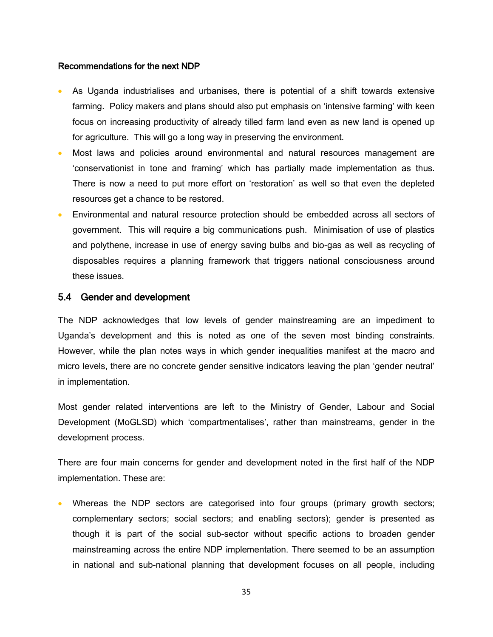#### Recommendations for the next NDP

- As Uganda industrialises and urbanises, there is potential of a shift towards extensive farming. Policy makers and plans should also put emphasis on 'intensive farming' with keen focus on increasing productivity of already tilled farm land even as new land is opened up for agriculture. This will go a long way in preserving the environment.
- Most laws and policies around environmental and natural resources management are 'conservationist in tone and framing' which has partially made implementation as thus. There is now a need to put more effort on 'restoration' as well so that even the depleted resources get a chance to be restored.
- Environmental and natural resource protection should be embedded across all sectors of government. This will require a big communications push. Minimisation of use of plastics and polythene, increase in use of energy saving bulbs and bio-gas as well as recycling of disposables requires a planning framework that triggers national consciousness around these issues.

#### <span id="page-45-0"></span>5.4 Gender and development

The NDP acknowledges that low levels of gender mainstreaming are an impediment to Uganda's development and this is noted as one of the seven most binding constraints. However, while the plan notes ways in which gender inequalities manifest at the macro and micro levels, there are no concrete gender sensitive indicators leaving the plan 'gender neutral' in implementation.

Most gender related interventions are left to the Ministry of Gender, Labour and Social Development (MoGLSD) which 'compartmentalises', rather than mainstreams, gender in the development process.

There are four main concerns for gender and development noted in the first half of the NDP implementation. These are:

 Whereas the NDP sectors are categorised into four groups (primary growth sectors; complementary sectors; social sectors; and enabling sectors); gender is presented as though it is part of the social sub-sector without specific actions to broaden gender mainstreaming across the entire NDP implementation. There seemed to be an assumption in national and sub-national planning that development focuses on all people, including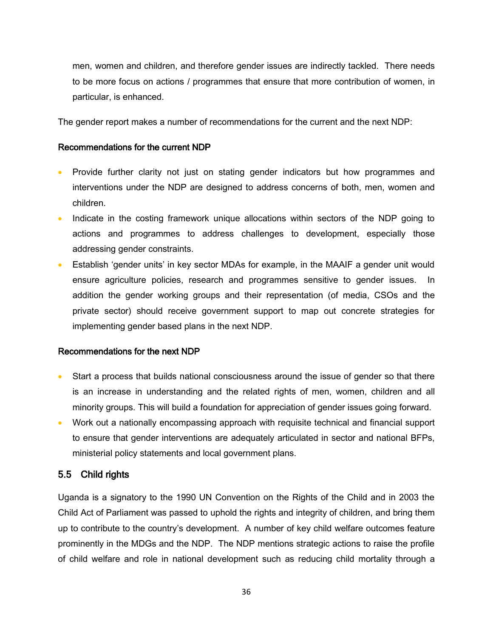men, women and children, and therefore gender issues are indirectly tackled. There needs to be more focus on actions / programmes that ensure that more contribution of women, in particular, is enhanced.

The gender report makes a number of recommendations for the current and the next NDP:

#### Recommendations for the current NDP

- Provide further clarity not just on stating gender indicators but how programmes and interventions under the NDP are designed to address concerns of both, men, women and children.
- Indicate in the costing framework unique allocations within sectors of the NDP going to actions and programmes to address challenges to development, especially those addressing gender constraints.
- Establish 'gender units' in key sector MDAs for example, in the MAAIF a gender unit would ensure agriculture policies, research and programmes sensitive to gender issues. In addition the gender working groups and their representation (of media, CSOs and the private sector) should receive government support to map out concrete strategies for implementing gender based plans in the next NDP.

#### Recommendations for the next NDP

- Start a process that builds national consciousness around the issue of gender so that there is an increase in understanding and the related rights of men, women, children and all minority groups. This will build a foundation for appreciation of gender issues going forward.
- Work out a nationally encompassing approach with requisite technical and financial support to ensure that gender interventions are adequately articulated in sector and national BFPs, ministerial policy statements and local government plans.

#### <span id="page-46-0"></span>5.5 Child rights

Uganda is a signatory to the 1990 UN Convention on the Rights of the Child and in 2003 the Child Act of Parliament was passed to uphold the rights and integrity of children, and bring them up to contribute to the country's development. A number of key child welfare outcomes feature prominently in the MDGs and the NDP. The NDP mentions strategic actions to raise the profile of child welfare and role in national development such as reducing child mortality through a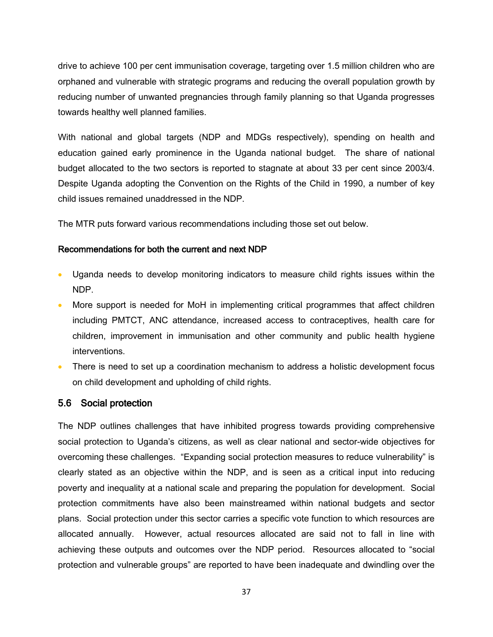drive to achieve 100 per cent immunisation coverage, targeting over 1.5 million children who are orphaned and vulnerable with strategic programs and reducing the overall population growth by reducing number of unwanted pregnancies through family planning so that Uganda progresses towards healthy well planned families.

With national and global targets (NDP and MDGs respectively), spending on health and education gained early prominence in the Uganda national budget. The share of national budget allocated to the two sectors is reported to stagnate at about 33 per cent since 2003/4. Despite Uganda adopting the Convention on the Rights of the Child in 1990, a number of key child issues remained unaddressed in the NDP.

The MTR puts forward various recommendations including those set out below.

#### Recommendations for both the current and next NDP

- Uganda needs to develop monitoring indicators to measure child rights issues within the NDP.
- More support is needed for MoH in implementing critical programmes that affect children including PMTCT, ANC attendance, increased access to contraceptives, health care for children, improvement in immunisation and other community and public health hygiene interventions.
- There is need to set up a coordination mechanism to address a holistic development focus on child development and upholding of child rights.

#### <span id="page-47-0"></span>5.6 Social protection

The NDP outlines challenges that have inhibited progress towards providing comprehensive social protection to Uganda's citizens, as well as clear national and sector-wide objectives for overcoming these challenges. "Expanding social protection measures to reduce vulnerability" is clearly stated as an objective within the NDP, and is seen as a critical input into reducing poverty and inequality at a national scale and preparing the population for development. Social protection commitments have also been mainstreamed within national budgets and sector plans. Social protection under this sector carries a specific vote function to which resources are allocated annually. However, actual resources allocated are said not to fall in line with achieving these outputs and outcomes over the NDP period. Resources allocated to "social protection and vulnerable groups" are reported to have been inadequate and dwindling over the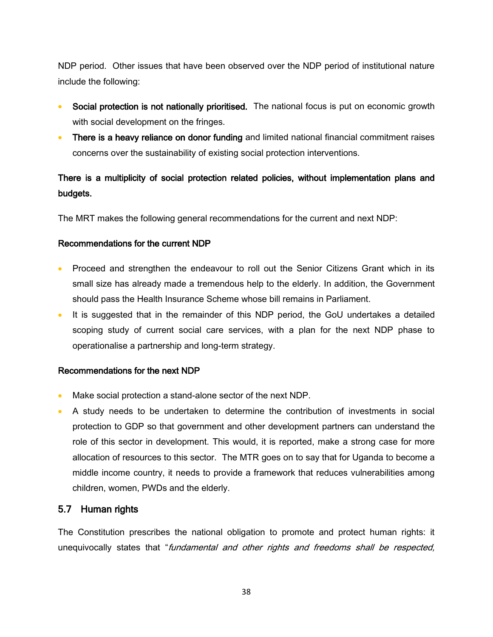NDP period. Other issues that have been observed over the NDP period of institutional nature include the following:

- Social protection is not nationally prioritised. The national focus is put on economic growth with social development on the fringes.
- There is a heavy reliance on donor funding and limited national financial commitment raises concerns over the sustainability of existing social protection interventions.

## There is a multiplicity of social protection related policies, without implementation plans and budgets.

The MRT makes the following general recommendations for the current and next NDP:

#### Recommendations for the current NDP

- Proceed and strengthen the endeavour to roll out the Senior Citizens Grant which in its small size has already made a tremendous help to the elderly. In addition, the Government should pass the Health Insurance Scheme whose bill remains in Parliament.
- It is suggested that in the remainder of this NDP period, the GoU undertakes a detailed scoping study of current social care services, with a plan for the next NDP phase to operationalise a partnership and long-term strategy.

#### Recommendations for the next NDP

- Make social protection a stand-alone sector of the next NDP.
- A study needs to be undertaken to determine the contribution of investments in social protection to GDP so that government and other development partners can understand the role of this sector in development. This would, it is reported, make a strong case for more allocation of resources to this sector. The MTR goes on to say that for Uganda to become a middle income country, it needs to provide a framework that reduces vulnerabilities among children, women, PWDs and the elderly.

#### <span id="page-48-0"></span>5.7 Human rights

The Constitution prescribes the national obligation to promote and protect human rights: it unequivocally states that "fundamental and other rights and freedoms shall be respected,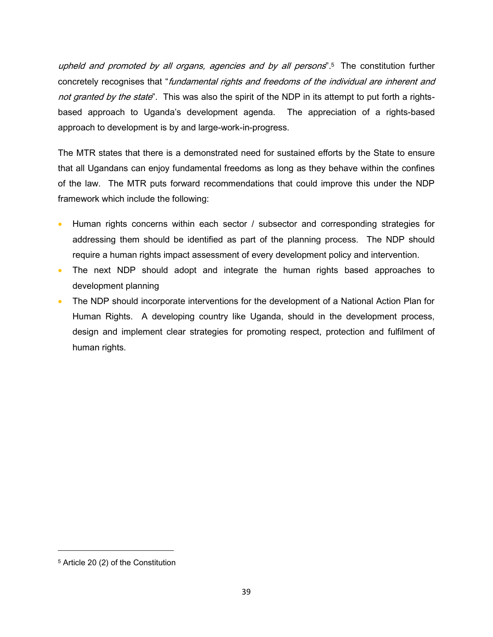upheld and promoted by all organs, agencies and by all persons".<sup>5</sup> The constitution further concretely recognises that "fundamental rights and freedoms of the individual are inherent and not granted by the state". This was also the spirit of the NDP in its attempt to put forth a rightsbased approach to Uganda's development agenda. The appreciation of a rights-based approach to development is by and large-work-in-progress.

The MTR states that there is a demonstrated need for sustained efforts by the State to ensure that all Ugandans can enjoy fundamental freedoms as long as they behave within the confines of the law. The MTR puts forward recommendations that could improve this under the NDP framework which include the following:

- Human rights concerns within each sector / subsector and corresponding strategies for addressing them should be identified as part of the planning process. The NDP should require a human rights impact assessment of every development policy and intervention.
- The next NDP should adopt and integrate the human rights based approaches to development planning
- The NDP should incorporate interventions for the development of a National Action Plan for Human Rights. A developing country like Uganda, should in the development process, design and implement clear strategies for promoting respect, protection and fulfilment of human rights.

l

<sup>5</sup> Article 20 (2) of the Constitution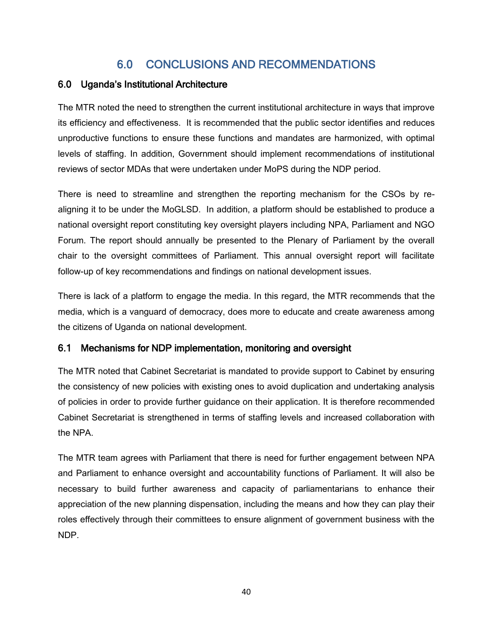## 6.0 CONCLUSIONS AND RECOMMENDATIONS

## <span id="page-50-1"></span><span id="page-50-0"></span>6.0 Uganda's Institutional Architecture

The MTR noted the need to strengthen the current institutional architecture in ways that improve its efficiency and effectiveness. It is recommended that the public sector identifies and reduces unproductive functions to ensure these functions and mandates are harmonized, with optimal levels of staffing. In addition, Government should implement recommendations of institutional reviews of sector MDAs that were undertaken under MoPS during the NDP period.

There is need to streamline and strengthen the reporting mechanism for the CSOs by realigning it to be under the MoGLSD. In addition, a platform should be established to produce a national oversight report constituting key oversight players including NPA, Parliament and NGO Forum. The report should annually be presented to the Plenary of Parliament by the overall chair to the oversight committees of Parliament. This annual oversight report will facilitate follow-up of key recommendations and findings on national development issues.

There is lack of a platform to engage the media. In this regard, the MTR recommends that the media, which is a vanguard of democracy, does more to educate and create awareness among the citizens of Uganda on national development.

## <span id="page-50-2"></span>6.1 Mechanisms for NDP implementation, monitoring and oversight

The MTR noted that Cabinet Secretariat is mandated to provide support to Cabinet by ensuring the consistency of new policies with existing ones to avoid duplication and undertaking analysis of policies in order to provide further guidance on their application. It is therefore recommended Cabinet Secretariat is strengthened in terms of staffing levels and increased collaboration with the NPA.

The MTR team agrees with Parliament that there is need for further engagement between NPA and Parliament to enhance oversight and accountability functions of Parliament. It will also be necessary to build further awareness and capacity of parliamentarians to enhance their appreciation of the new planning dispensation, including the means and how they can play their roles effectively through their committees to ensure alignment of government business with the NDP.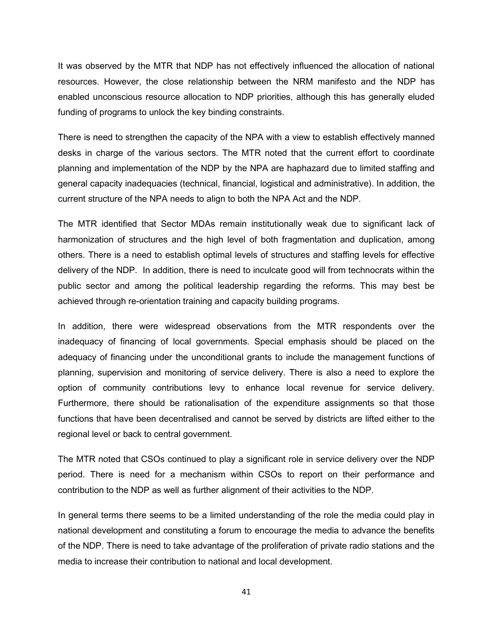It was observed by the MTR that NDP has not effectively influenced the allocation of national resources. However, the close relationship between the NRM manifesto and the NDP has enabled unconscious resource allocation to NDP priorities, although this has generally eluded funding of programs to unlock the key binding constraints.

There is need to strengthen the capacity of the NPA with a view to establish effectively manned desks in charge of the various sectors. The MTR noted that the current effort to coordinate planning and implementation of the NDP by the NPA are haphazard due to limited staffing and general capacity inadequacies (technical, financial, logistical and administrative). In addition, the current structure of the NPA needs to align to both the NPA Act and the NDP.

The MTR identified that Sector MDAs remain institutionally weak due to significant lack of harmonization of structures and the high level of both fragmentation and duplication, among others. There is a need to establish optimal levels of structures and staffing levels for effective delivery of the NDP. In addition, there is need to inculcate good will from technocrats within the public sector and among the political leadership regarding the reforms. This may best be achieved through re-orientation training and capacity building programs.

In addition, there were widespread observations from the MTR respondents over the inadequacy of financing of local governments. Special emphasis should be placed on the adequacy of financing under the unconditional grants to include the management functions of planning, supervision and monitoring of service delivery. There is also a need to explore the option of community contributions levy to enhance local revenue for service delivery. Furthermore, there should be rationalisation of the expenditure assignments so that those functions that have been decentralised and cannot be served by districts are lifted either to the regional level or back to central government.

The MTR noted that CSOs continued to play a significant role in service delivery over the NDP period. There is need for a mechanism within CSOs to report on their performance and contribution to the NDP as well as further alignment of their activities to the NDP.

In general terms there seems to be a limited understanding of the role the media could play in national development and constituting a forum to encourage the media to advance the benefits of the NDP. There is need to take advantage of the proliferation of private radio stations and the media to increase their contribution to national and local development.

41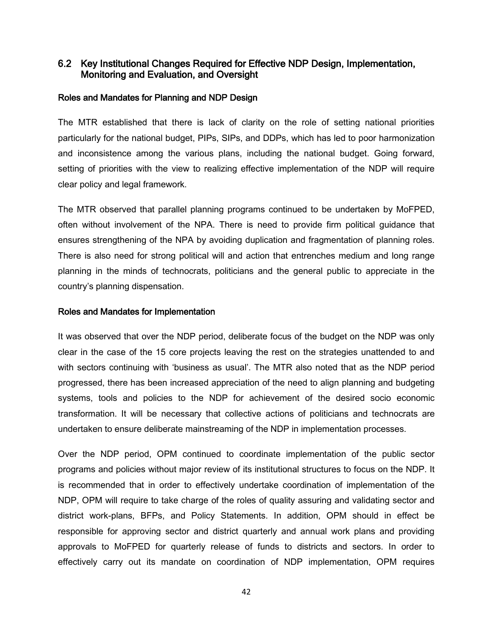#### <span id="page-52-0"></span>6.2 Key Institutional Changes Required for Effective NDP Design, Implementation, Monitoring and Evaluation, and Oversight

#### Roles and Mandates for Planning and NDP Design

The MTR established that there is lack of clarity on the role of setting national priorities particularly for the national budget, PIPs, SIPs, and DDPs, which has led to poor harmonization and inconsistence among the various plans, including the national budget. Going forward, setting of priorities with the view to realizing effective implementation of the NDP will require clear policy and legal framework.

The MTR observed that parallel planning programs continued to be undertaken by MoFPED, often without involvement of the NPA. There is need to provide firm political guidance that ensures strengthening of the NPA by avoiding duplication and fragmentation of planning roles. There is also need for strong political will and action that entrenches medium and long range planning in the minds of technocrats, politicians and the general public to appreciate in the country's planning dispensation.

#### Roles and Mandates for Implementation

It was observed that over the NDP period, deliberate focus of the budget on the NDP was only clear in the case of the 15 core projects leaving the rest on the strategies unattended to and with sectors continuing with 'business as usual'. The MTR also noted that as the NDP period progressed, there has been increased appreciation of the need to align planning and budgeting systems, tools and policies to the NDP for achievement of the desired socio economic transformation. It will be necessary that collective actions of politicians and technocrats are undertaken to ensure deliberate mainstreaming of the NDP in implementation processes.

Over the NDP period, OPM continued to coordinate implementation of the public sector programs and policies without major review of its institutional structures to focus on the NDP. It is recommended that in order to effectively undertake coordination of implementation of the NDP, OPM will require to take charge of the roles of quality assuring and validating sector and district work-plans, BFPs, and Policy Statements. In addition, OPM should in effect be responsible for approving sector and district quarterly and annual work plans and providing approvals to MoFPED for quarterly release of funds to districts and sectors. In order to effectively carry out its mandate on coordination of NDP implementation, OPM requires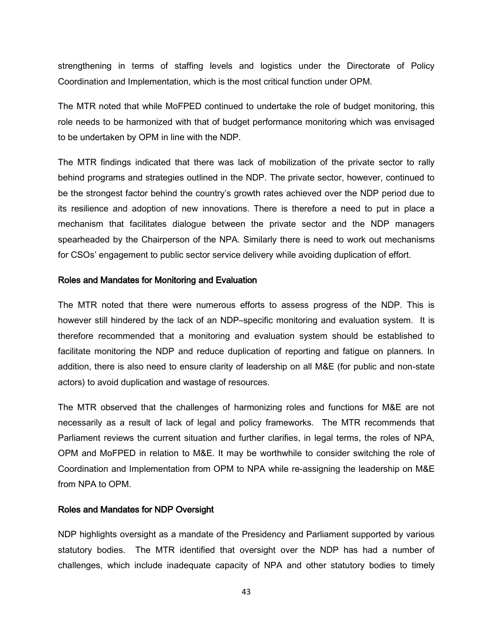strengthening in terms of staffing levels and logistics under the Directorate of Policy Coordination and Implementation, which is the most critical function under OPM.

The MTR noted that while MoFPED continued to undertake the role of budget monitoring, this role needs to be harmonized with that of budget performance monitoring which was envisaged to be undertaken by OPM in line with the NDP.

The MTR findings indicated that there was lack of mobilization of the private sector to rally behind programs and strategies outlined in the NDP. The private sector, however, continued to be the strongest factor behind the country's growth rates achieved over the NDP period due to its resilience and adoption of new innovations. There is therefore a need to put in place a mechanism that facilitates dialogue between the private sector and the NDP managers spearheaded by the Chairperson of the NPA. Similarly there is need to work out mechanisms for CSOs' engagement to public sector service delivery while avoiding duplication of effort.

#### Roles and Mandates for Monitoring and Evaluation

The MTR noted that there were numerous efforts to assess progress of the NDP. This is however still hindered by the lack of an NDP–specific monitoring and evaluation system. It is therefore recommended that a monitoring and evaluation system should be established to facilitate monitoring the NDP and reduce duplication of reporting and fatigue on planners. In addition, there is also need to ensure clarity of leadership on all M&E (for public and non-state actors) to avoid duplication and wastage of resources.

The MTR observed that the challenges of harmonizing roles and functions for M&E are not necessarily as a result of lack of legal and policy frameworks. The MTR recommends that Parliament reviews the current situation and further clarifies, in legal terms, the roles of NPA, OPM and MoFPED in relation to M&E. It may be worthwhile to consider switching the role of Coordination and Implementation from OPM to NPA while re-assigning the leadership on M&E from NPA to OPM.

#### Roles and Mandates for NDP Oversight

NDP highlights oversight as a mandate of the Presidency and Parliament supported by various statutory bodies. The MTR identified that oversight over the NDP has had a number of challenges, which include inadequate capacity of NPA and other statutory bodies to timely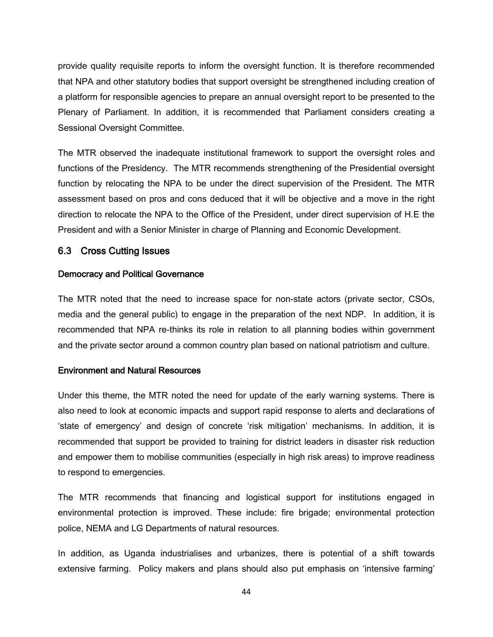provide quality requisite reports to inform the oversight function. It is therefore recommended that NPA and other statutory bodies that support oversight be strengthened including creation of a platform for responsible agencies to prepare an annual oversight report to be presented to the Plenary of Parliament. In addition, it is recommended that Parliament considers creating a Sessional Oversight Committee.

The MTR observed the inadequate institutional framework to support the oversight roles and functions of the Presidency. The MTR recommends strengthening of the Presidential oversight function by relocating the NPA to be under the direct supervision of the President. The MTR assessment based on pros and cons deduced that it will be objective and a move in the right direction to relocate the NPA to the Office of the President, under direct supervision of H.E the President and with a Senior Minister in charge of Planning and Economic Development.

#### <span id="page-54-0"></span>6.3 Cross Cutting Issues

#### Democracy and Political Governance

The MTR noted that the need to increase space for non-state actors (private sector, CSOs, media and the general public) to engage in the preparation of the next NDP. In addition, it is recommended that NPA re-thinks its role in relation to all planning bodies within government and the private sector around a common country plan based on national patriotism and culture.

#### Environment and Natural Resources

Under this theme, the MTR noted the need for update of the early warning systems. There is also need to look at economic impacts and support rapid response to alerts and declarations of 'state of emergency' and design of concrete 'risk mitigation' mechanisms. In addition, it is recommended that support be provided to training for district leaders in disaster risk reduction and empower them to mobilise communities (especially in high risk areas) to improve readiness to respond to emergencies.

The MTR recommends that financing and logistical support for institutions engaged in environmental protection is improved. These include: fire brigade; environmental protection police, NEMA and LG Departments of natural resources.

In addition, as Uganda industrialises and urbanizes, there is potential of a shift towards extensive farming. Policy makers and plans should also put emphasis on 'intensive farming'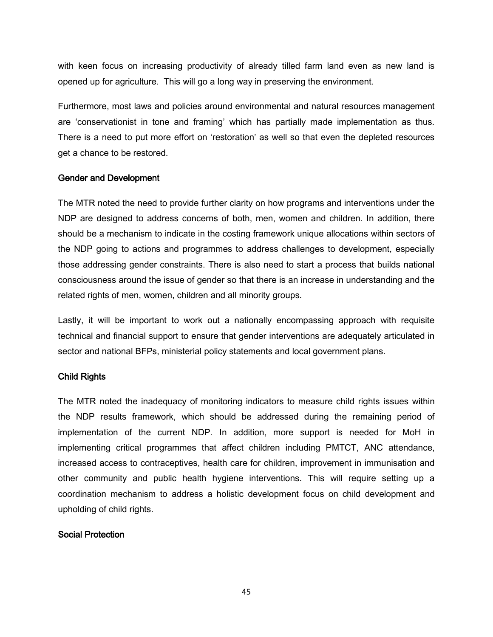with keen focus on increasing productivity of already tilled farm land even as new land is opened up for agriculture. This will go a long way in preserving the environment.

Furthermore, most laws and policies around environmental and natural resources management are 'conservationist in tone and framing' which has partially made implementation as thus. There is a need to put more effort on 'restoration' as well so that even the depleted resources get a chance to be restored.

#### Gender and Development

The MTR noted the need to provide further clarity on how programs and interventions under the NDP are designed to address concerns of both, men, women and children. In addition, there should be a mechanism to indicate in the costing framework unique allocations within sectors of the NDP going to actions and programmes to address challenges to development, especially those addressing gender constraints. There is also need to start a process that builds national consciousness around the issue of gender so that there is an increase in understanding and the related rights of men, women, children and all minority groups.

Lastly, it will be important to work out a nationally encompassing approach with requisite technical and financial support to ensure that gender interventions are adequately articulated in sector and national BFPs, ministerial policy statements and local government plans.

#### Child Rights

The MTR noted the inadequacy of monitoring indicators to measure child rights issues within the NDP results framework, which should be addressed during the remaining period of implementation of the current NDP. In addition, more support is needed for MoH in implementing critical programmes that affect children including PMTCT, ANC attendance, increased access to contraceptives, health care for children, improvement in immunisation and other community and public health hygiene interventions. This will require setting up a coordination mechanism to address a holistic development focus on child development and upholding of child rights.

#### Social Protection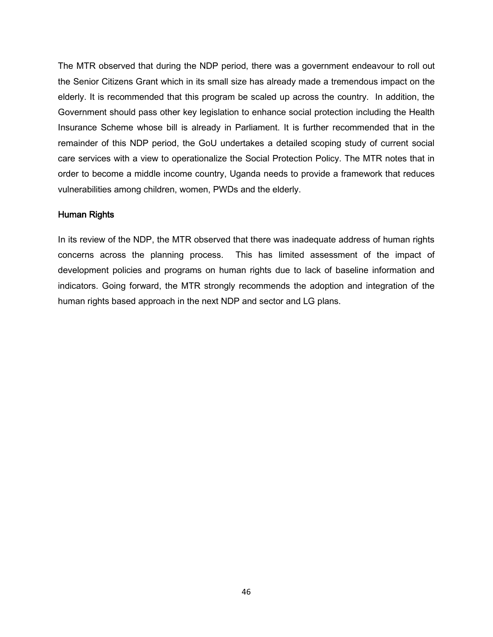The MTR observed that during the NDP period, there was a government endeavour to roll out the Senior Citizens Grant which in its small size has already made a tremendous impact on the elderly. It is recommended that this program be scaled up across the country. In addition, the Government should pass other key legislation to enhance social protection including the Health Insurance Scheme whose bill is already in Parliament. It is further recommended that in the remainder of this NDP period, the GoU undertakes a detailed scoping study of current social care services with a view to operationalize the Social Protection Policy. The MTR notes that in order to become a middle income country, Uganda needs to provide a framework that reduces vulnerabilities among children, women, PWDs and the elderly.

#### Human Rights

In its review of the NDP, the MTR observed that there was inadequate address of human rights concerns across the planning process. This has limited assessment of the impact of development policies and programs on human rights due to lack of baseline information and indicators. Going forward, the MTR strongly recommends the adoption and integration of the human rights based approach in the next NDP and sector and LG plans.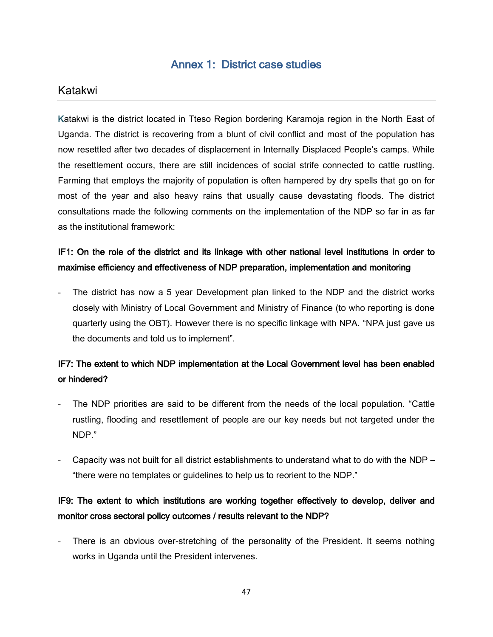## Annex 1: District case studies

## <span id="page-57-0"></span>Katakwi

Katakwi is the district located in Tteso Region bordering Karamoja region in the North East of Uganda. The district is recovering from a blunt of civil conflict and most of the population has now resettled after two decades of displacement in Internally Displaced People's camps. While the resettlement occurs, there are still incidences of social strife connected to cattle rustling. Farming that employs the majority of population is often hampered by dry spells that go on for most of the year and also heavy rains that usually cause devastating floods. The district consultations made the following comments on the implementation of the NDP so far in as far as the institutional framework:

## IF1: On the role of the district and its linkage with other national level institutions in order to maximise efficiency and effectiveness of NDP preparation, implementation and monitoring

The district has now a 5 year Development plan linked to the NDP and the district works closely with Ministry of Local Government and Ministry of Finance (to who reporting is done quarterly using the OBT). However there is no specific linkage with NPA. "NPA just gave us the documents and told us to implement".

## IF7: The extent to which NDP implementation at the Local Government level has been enabled or hindered?

- The NDP priorities are said to be different from the needs of the local population. "Cattle rustling, flooding and resettlement of people are our key needs but not targeted under the NDP."
- Capacity was not built for all district establishments to understand what to do with the NDP "there were no templates or guidelines to help us to reorient to the NDP."

## IF9: The extent to which institutions are working together effectively to develop, deliver and monitor cross sectoral policy outcomes / results relevant to the NDP?

There is an obvious over-stretching of the personality of the President. It seems nothing works in Uganda until the President intervenes.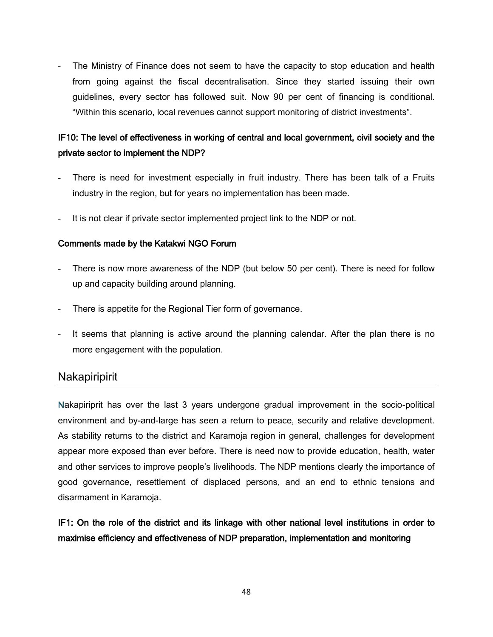The Ministry of Finance does not seem to have the capacity to stop education and health from going against the fiscal decentralisation. Since they started issuing their own guidelines, every sector has followed suit. Now 90 per cent of financing is conditional. "Within this scenario, local revenues cannot support monitoring of district investments".

## IF10: The level of effectiveness in working of central and local government, civil society and the private sector to implement the NDP?

- There is need for investment especially in fruit industry. There has been talk of a Fruits industry in the region, but for years no implementation has been made.
- It is not clear if private sector implemented project link to the NDP or not.

#### Comments made by the Katakwi NGO Forum

- There is now more awareness of the NDP (but below 50 per cent). There is need for follow up and capacity building around planning.
- There is appetite for the Regional Tier form of governance.
- It seems that planning is active around the planning calendar. After the plan there is no more engagement with the population.

## **Nakapiripirit**

Nakapiriprit has over the last 3 years undergone gradual improvement in the socio-political environment and by-and-large has seen a return to peace, security and relative development. As stability returns to the district and Karamoja region in general, challenges for development appear more exposed than ever before. There is need now to provide education, health, water and other services to improve people's livelihoods. The NDP mentions clearly the importance of good governance, resettlement of displaced persons, and an end to ethnic tensions and disarmament in Karamoja.

IF1: On the role of the district and its linkage with other national level institutions in order to maximise efficiency and effectiveness of NDP preparation, implementation and monitoring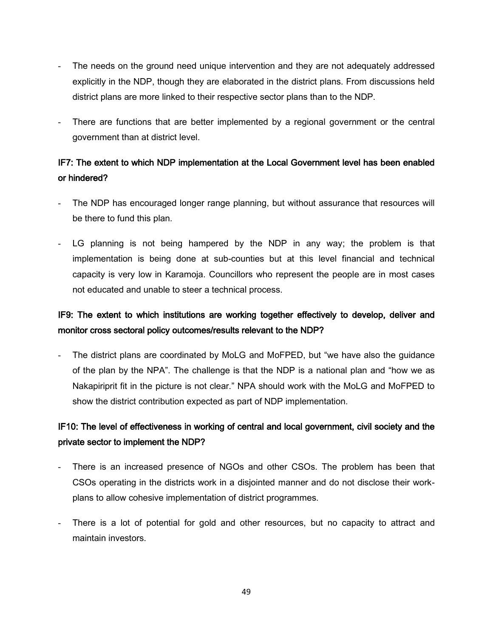- The needs on the ground need unique intervention and they are not adequately addressed explicitly in the NDP, though they are elaborated in the district plans. From discussions held district plans are more linked to their respective sector plans than to the NDP.
- There are functions that are better implemented by a regional government or the central government than at district level.

## IF7: The extent to which NDP implementation at the Local Government level has been enabled or hindered?

- The NDP has encouraged longer range planning, but without assurance that resources will be there to fund this plan.
- LG planning is not being hampered by the NDP in any way; the problem is that implementation is being done at sub-counties but at this level financial and technical capacity is very low in Karamoja. Councillors who represent the people are in most cases not educated and unable to steer a technical process.

## IF9: The extent to which institutions are working together effectively to develop, deliver and monitor cross sectoral policy outcomes/results relevant to the NDP?

The district plans are coordinated by MoLG and MoFPED, but "we have also the guidance of the plan by the NPA". The challenge is that the NDP is a national plan and "how we as Nakapiriprit fit in the picture is not clear." NPA should work with the MoLG and MoFPED to show the district contribution expected as part of NDP implementation.

## IF10: The level of effectiveness in working of central and local government, civil society and the private sector to implement the NDP?

- There is an increased presence of NGOs and other CSOs. The problem has been that CSOs operating in the districts work in a disjointed manner and do not disclose their workplans to allow cohesive implementation of district programmes.
- There is a lot of potential for gold and other resources, but no capacity to attract and maintain investors.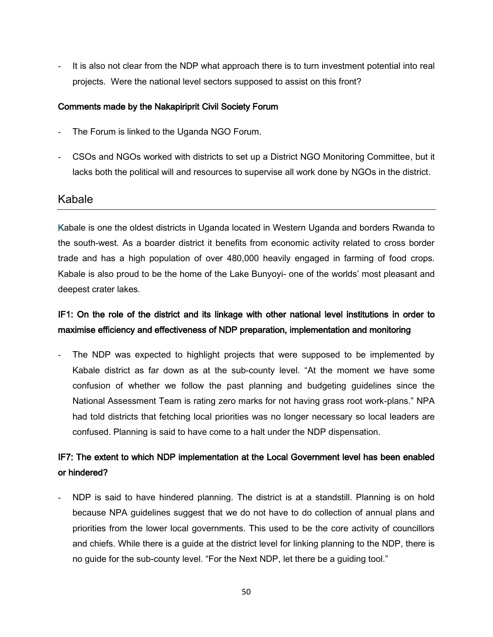It is also not clear from the NDP what approach there is to turn investment potential into real projects. Were the national level sectors supposed to assist on this front?

#### Comments made by the Nakapiriprit Civil Society Forum

- The Forum is linked to the Uganda NGO Forum.
- CSOs and NGOs worked with districts to set up a District NGO Monitoring Committee, but it lacks both the political will and resources to supervise all work done by NGOs in the district.

#### Kabale

Kabale is one the oldest districts in Uganda located in Western Uganda and borders Rwanda to the south-west. As a boarder district it benefits from economic activity related to cross border trade and has a high population of over 480,000 heavily engaged in farming of food crops. Kabale is also proud to be the home of the Lake Bunyoyi- one of the worlds' most pleasant and deepest crater lakes.

## IF1: On the role of the district and its linkage with other national level institutions in order to maximise efficiency and effectiveness of NDP preparation, implementation and monitoring

The NDP was expected to highlight projects that were supposed to be implemented by Kabale district as far down as at the sub-county level. "At the moment we have some confusion of whether we follow the past planning and budgeting guidelines since the National Assessment Team is rating zero marks for not having grass root work-plans." NPA had told districts that fetching local priorities was no longer necessary so local leaders are confused. Planning is said to have come to a halt under the NDP dispensation.

## IF7: The extent to which NDP implementation at the Local Government level has been enabled or hindered?

NDP is said to have hindered planning. The district is at a standstill. Planning is on hold because NPA guidelines suggest that we do not have to do collection of annual plans and priorities from the lower local governments. This used to be the core activity of councillors and chiefs. While there is a guide at the district level for linking planning to the NDP, there is no guide for the sub-county level. "For the Next NDP, let there be a guiding tool."